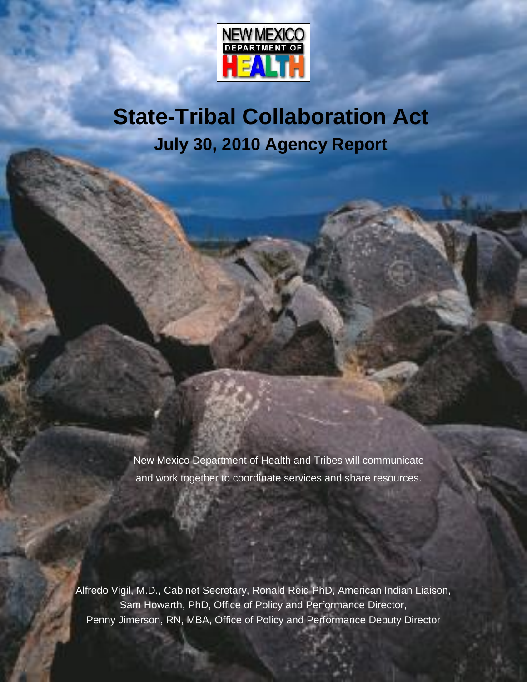

**State-Tribal Collaboration Act July 30, 2010 Agency Report**

New Mexico Department of Health and Tribes will communicate and work together to coordinate services and share resources.

Alfredo Vigil, M.D., Cabinet Secretary, Ronald Reid PhD, American Indian Liaison, Sam Howarth, PhD, Office of Policy and Performance Director, Penny Jimerson, RN, MBA, Office of Policy and Performance Deputy Director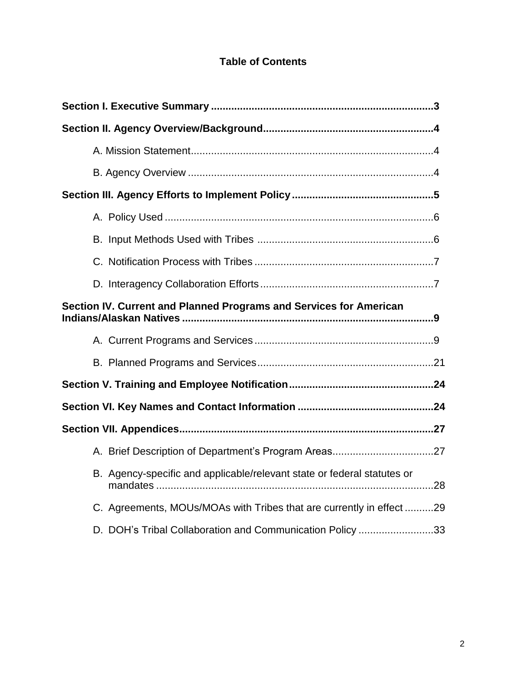# **Table of Contents**

| Section IV. Current and Planned Programs and Services for American      |  |
|-------------------------------------------------------------------------|--|
|                                                                         |  |
|                                                                         |  |
|                                                                         |  |
|                                                                         |  |
|                                                                         |  |
|                                                                         |  |
| B. Agency-specific and applicable/relevant state or federal statutes or |  |
| C. Agreements, MOUs/MOAs with Tribes that are currently in effect 29    |  |
| D. DOH's Tribal Collaboration and Communication Policy 33               |  |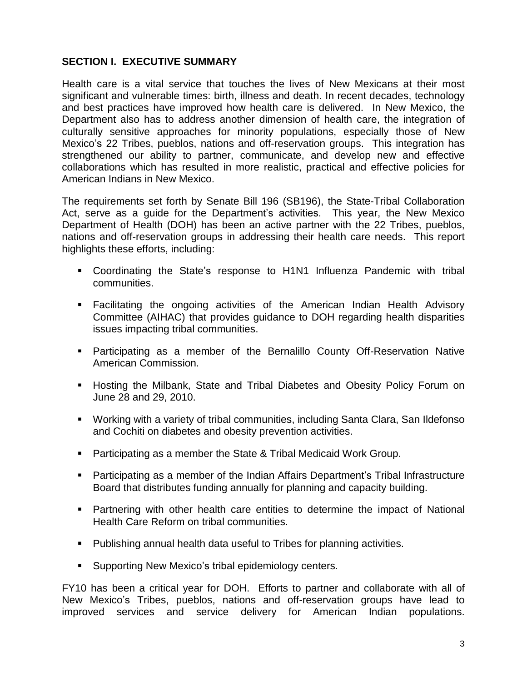# **SECTION I. EXECUTIVE SUMMARY**

Health care is a vital service that touches the lives of New Mexicans at their most significant and vulnerable times: birth, illness and death. In recent decades, technology and best practices have improved how health care is delivered. In New Mexico, the Department also has to address another dimension of health care, the integration of culturally sensitive approaches for minority populations, especially those of New Department also has to address another dimension of health care, the integration of<br>culturally sensitive approaches for minority populations, especially those of New<br>Mexico's 22 Tribes, pueblos, nations and off-reservation strengthened our ability to partner, communicate, and develop new and effective collaborations which has resulted in more realistic, practical and effective policies for American Indians in New Mexico.

The requirements set forth by Senate Bill 196 (SB196), the State-Tribal Collaboration Amentian malant in New Mexico.<br>The requirements set forth by Senate Bill 196 (SB196), the State-Tribal Collaboration<br>Act, serve as a guide for the Department's activities. This year, the New Mexico Department of Health (DOH) has been an active partner with the 22 Tribes, pueblos, nations and off-reservation groups in addressing their health care needs. This report highlights these efforts, including:

- Coordinating the Stateís response to H1N1 Influenza Pandemic with tribal communities.
- Facilitating the ongoing activities of the American Indian Health Advisory Committee (AIHAC) that provides guidance to DOH regarding health disparities issues impacting tribal communities.
- Participating as a member of the Bernalillo County Off-Reservation Native American Commission.
- **Hosting the Milbank, State and Tribal Diabetes and Obesity Policy Forum on** June 28 and 29, 2010.
- Working with a variety of tribal communities, including Santa Clara, San Ildefonso and Cochiti on diabetes and obesity prevention activities.
- Participating as a member the State & Tribal Medicaid Work Group.
- **Participating as a member of the Indian Affairs Department's Tribal Infrastructure** Board that distributes funding annually for planning and capacity building.
- Partnering with other health care entities to determine the impact of National Health Care Reform on tribal communities.
- Publishing annual health data useful to Tribes for planning activities.<br>■ Supporting New Mexico's tribal epidemiology centers.
- 

FY10 has been a critical year for DOH. Efforts to partner and collaborate with all of Supporting New Mexico's tribal epidemiology centers.<br>FY10 has been a critical year for DOH. Efforts to partner and collaborate with all of<br>New Mexico's Tribes, pueblos, nations and off-reservation groups have lead to improved services and service delivery for American Indian populations.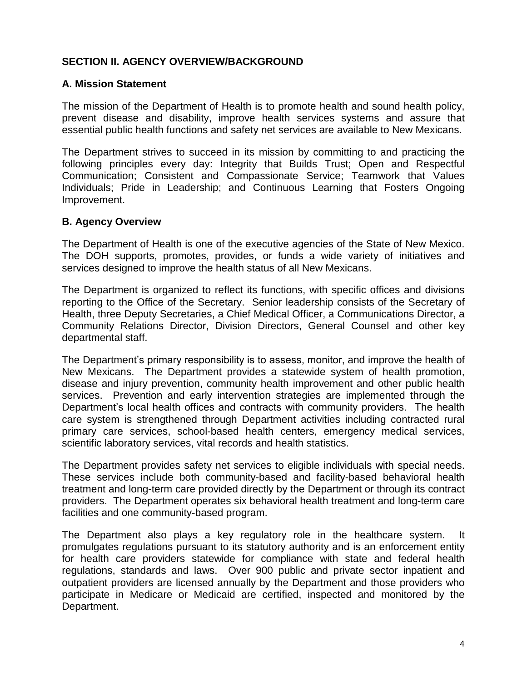# **SECTION II. AGENCY OVERVIEW/BACKGROUND**

## **A. Mission Statement**

The mission of the Department of Health is to promote health and sound health policy, prevent disease and disability, improve health services systems and assure that essential public health functions and safety net services are available to New Mexicans.

The Department strives to succeed in its mission by committing to and practicing the following principles every day: Integrity that Builds Trust; Open and Respectful Communication; Consistent and Compassionate Service; Teamwork that Values Individuals; Pride in Leadership; and Continuous Learning that Fosters Ongoing Improvement.

## **B. Agency Overview**

The Department of Health is one of the executive agencies of the State of New Mexico. The DOH supports, promotes, provides, or funds a wide variety of initiatives and services designed to improve the health status of all New Mexicans.

The Department is organized to reflect its functions, with specific offices and divisions reporting to the Office of the Secretary. Senior leadership consists of the Secretary of Health, three Deputy Secretaries, a Chief Medical Officer, a Communications Director, a Community Relations Director, Division Directors, General Counsel and other key departmental staff.

The Department's primary responsibility is to assess, monitor, and improve the health of New Mexicans. The Department provides a statewide system of health promotion, disease and injury prevention, community health improvement and other public health services. Prevention and early intervention strategies are implemented through the Department's local health offices and contracts with community providers. The health care system is strengthened through Department activities including contracted rural primary care services, school-based health centers, emergency medical services, scientific laboratory services, vital records and health statistics.

The Department provides safety net services to eligible individuals with special needs. These services include both community-based and facility-based behavioral health treatment and long-term care provided directly by the Department or through its contract providers. The Department operates six behavioral health treatment and long-term care facilities and one community-based program.

The Department also plays a key regulatory role in the healthcare system. It promulgates regulations pursuant to its statutory authority and is an enforcement entity for health care providers statewide for compliance with state and federal health regulations, standards and laws. Over 900 public and private sector inpatient and outpatient providers are licensed annually by the Department and those providers who participate in Medicare or Medicaid are certified, inspected and monitored by the Department.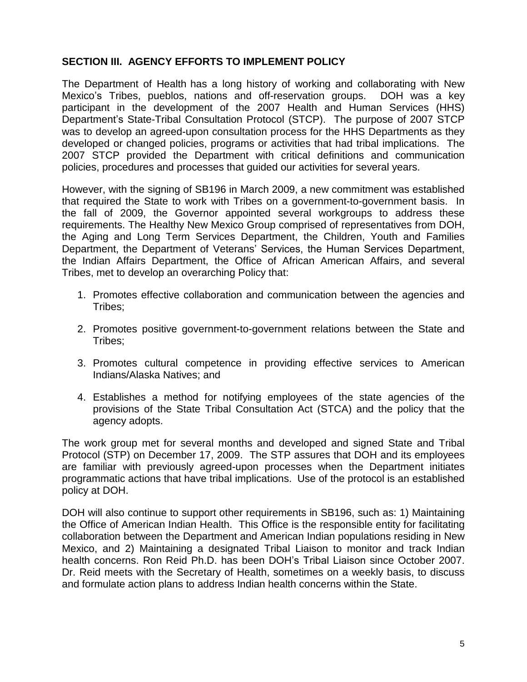# **SECTION III. AGENCY EFFORTS TO IMPLEMENT POLICY**

The Department of Health has a long history of working and collaborating with New Mexico Markt Abelity Privides of Markt Hills Protons<br>The Department of Health has a long history of working and collaborating with New<br>Mexico's Tribes, pueblos, nations and off-reservation groups. DOH was a key participant in the development of the 2007 Health and Human Services (HHS) Department of the later and off-reservation groups. DOH was a key<br>participant in the development of the 2007 Health and Human Services (HHS)<br>Department's State-Tribal Consultation Protocol (STCP). The purpose of 2007 STCP was to develop an agreed-upon consultation process for the HHS Departments as they developed or changed policies, programs or activities that had tribal implications. The 2007 STCP provided the Department with critical definitions and communication policies, procedures and processes that guided our activities for several years.

However, with the signing of SB196 in March 2009, a new commitment was established that required the State to work with Tribes on a government-to-government basis. In the fall of 2009, the Governor appointed several workgroups to address these requirements. The Healthy New Mexico Group comprised of representatives from DOH, the Aging and Long Term Services Department, the Children, Youth and Families requirements. The Healthy New Mexico Group comprised of representatives from DOH,<br>the Aging and Long Term Services Department, the Children, Youth and Families<br>Department, the Department of Veterans' Services, the Human Se the Indian Affairs Department, the Office of African American Affairs, and several Tribes, met to develop an overarching Policy that:

- 1. Promotes effective collaboration and communication between the agencies and Tribes;
- 2. Promotes positive government-to-government relations between the State and Tribes;
- 3. Promotes cultural competence in providing effective services to American Indians/Alaska Natives; and
- 4. Establishes a method for notifying employees of the state agencies of the provisions of the State Tribal Consultation Act (STCA) and the policy that the agency adopts.

The work group met for several months and developed and signed State and Tribal Protocol (STP) on December 17, 2009. The STP assures that DOH and its employees are familiar with previously agreed-upon processes when the Department initiates programmatic actions that have tribal implications. Use of the protocol is an established policy at DOH.

DOH will also continue to support other requirements in SB196, such as: 1) Maintaining the Office of American Indian Health. This Office is the responsible entity for facilitating collaboration between the Department and American Indian populations residing in New health concerns. Ron Reid Ph.D. has been DOHís Tribal Liaison since October 2007. Mexico, and 2) Maintaining a designated Tribal Liaison to monitor and track Indian Dr. Reid meets with the Secretary of Health, sometimes on a weekly basis, to discuss and formulate action plans to address Indian health concerns within the State.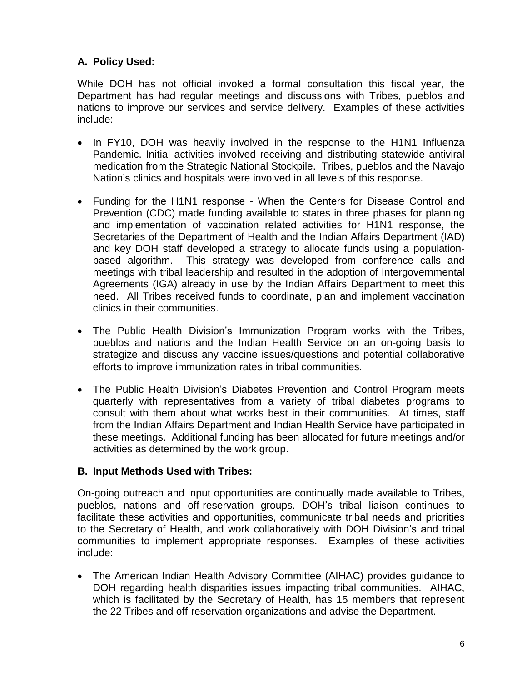# **A. Policy Used:**

While DOH has not official invoked a formal consultation this fiscal year, the Department has had regular meetings and discussions with Tribes, pueblos and nations to improve our services and service delivery. Examples of these activities include:

- In FY10, DOH was heavily involved in the response to the H1N1 Influenza Pandemic. Initial activities involved receiving and distributing statewide antiviral<br>medication from the Strategic National Stockpile. Tribes, pueblos and the Navajo<br>Nation's clinics and hospitals were involved in all leve medication from the Strategic National Stockpile. Tribes, pueblos and the Navajo
- Funding for the H1N1 response When the Centers for Disease Control and Prevention (CDC) made funding available to states in three phases for planning and implementation of vaccination related activities for H1N1 response, the Secretaries of the Department of Health and the Indian Affairs Department (IAD) and key DOH staff developed a strategy to allocate funds using a population based algorithm. This strategy was developed from conference calls and meetings with tribal leadership and resulted in the adoption of Intergovernmental Agreements (IGA) already in use by the Indian Affairs Department to meet this need. All Tribes received funds to coordinate, plan and implement vaccination clinics in their communities.
- The Public Health Divisionís Immunization Program works with the Tribes, pueblos and nations and the Indian Health Service on an on-going basis to strategize and discuss any vaccine issues/questions and potential collaborative efforts to improve immunization rates in tribal communities.
- The Public Health Division's Diabetes Prevention and Control Program meets quarterly with representatives from a variety of tribal diabetes programs to consult with them about what works best in their communities. At times, staff from the Indian Affairs Department and Indian Health Service have participated in these meetings. Additional funding has been allocated for future meetings and/or activities as determined by the work group.

## **B. Input Methods Used with Tribes:**

On-going outreach and input opportunities are continually made available to Tribes, D. Input methods esed with thises.<br>On-going outreach and input opportunities are continually made available to Tribes,<br>pueblos, nations and off-reservation groups. DOH's tribal liaison continues to facilitate these activities and opportunities, communicate tribal needs and priorities pueblos, nations and off-reservation groups. DOH's tribal liaison continues to<br>facilitate these activities and opportunities, communicate tribal needs and priorities<br>to the Secretary of Health, and work collaboratively wit communities to implement appropriate responses. Examples of these activities include:

 The American Indian Health Advisory Committee (AIHAC) provides guidance to DOH regarding health disparities issues impacting tribal communities. AIHAC, which is facilitated by the Secretary of Health, has 15 members that represent the 22 Tribes and off-reservation organizations and advise the Department.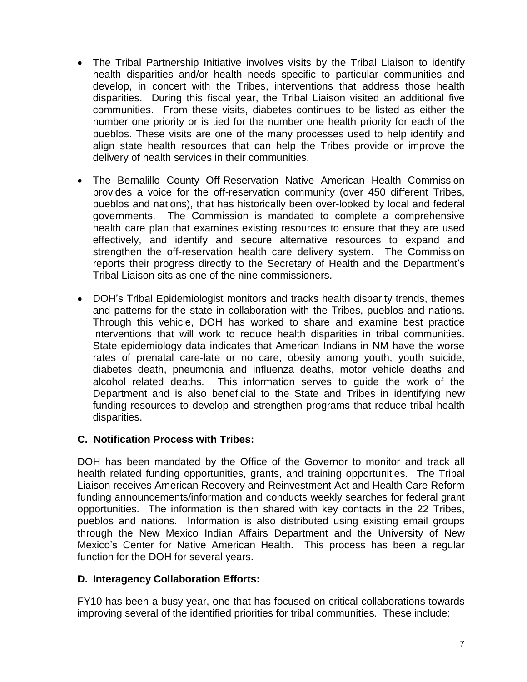- The Tribal Partnership Initiative involves visits by the Tribal Liaison to identify health disparities and/or health needs specific to particular communities and develop, in concert with the Tribes, interventions that address those health disparities. During this fiscal year, the Tribal Liaison visited an additional five communities. From these visits, diabetes continues to be listed as either the number one priority or is tied for the number one health priority for each of the pueblos. These visits are one of the many processes used to help identify and align state health resources that can help the Tribes provide or improve the delivery of health services in their communities.
- The Bernalillo County Off-Reservation Native American Health Commission  $\bullet$ provides a voice for the off-reservation community (over 450 different Tribes, pueblos and nations), that has historically been over-looked by local and federal governments. The Commission is mandated to complete a comprehensive health care plan that examines existing resources to ensure that they are used reports their progress directly and secure alternative resources to expand and<br>strengthen the off-reservation health care delivery system. The Commission<br>reports their progress directly to the Secretary of Health and the D effectively, and identify and secure alternative resources to expand and strengthen the off-reservation health care delivery system. The Commission reports their progress directly to the Secretary of Health and the Department's<br>Tribal Liaison sits as one of the nine commissioners.<br>• DOH's Tribal Epidemiologist monitors and tracks health disparity trends, themes Tribal Liaison sits as one of the nine commissioners.
- and patterns for the state in collaboration with the Tribes, pueblos and nations. Through this vehicle, DOH has worked to share and examine best practice interventions that will work to reduce health disparities in tribal communities. State epidemiology data indicates that American Indians in NM have the worse rates of prenatal care-late or no care, obesity among youth, youth suicide, diabetes death, pneumonia and influenza deaths, motor vehicle deaths and alcohol related deaths. This information serves to guide the work of the Department and is also beneficial to the State and Tribes in identifying new funding resources to develop and strengthen programs that reduce tribal health disparities.

# **C. Notification Process with Tribes:**

DOH has been mandated by the Office of the Governor to monitor and track all health related funding opportunities, grants, and training opportunities. The Tribal Liaison receives American Recovery and Reinvestment Act and Health Care Reform funding announcements/information and conducts weekly searches for federal grant opportunities. The information is then shared with key contacts in the 22 Tribes, pueblos and nations. Information is also distributed using existing email groups Mexicoís Center for Native American Health. This process has been <sup>a</sup> regular through the New Mexico Indian Affairs Department and the University of New function for the DOH for several years.

# **D. Interagency Collaboration Efforts:**

FY10 has been a busy year, one that has focused on critical collaborations towards improving several of the identified priorities for tribal communities. These include: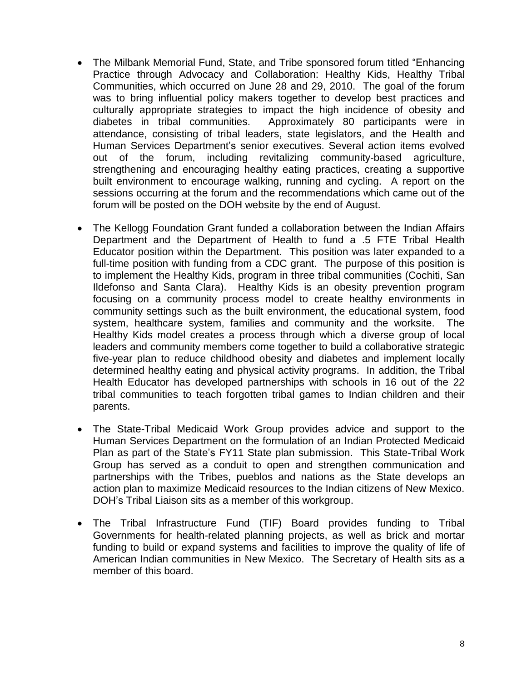- The Milbank Memorial Fund, State, and Tribe sponsored forum titled "Enhancing"  $\bullet$ Practice through Advocacy and Collaboration: Healthy Kids, Healthy Tribal Communities, which occurred on June 28 and 29, 2010. The goal of the forum was to bring influential policy makers together to develop best practices and culturally appropriate strategies to impact the high incidence of obesity and Human, experiment changes to implied the high including of coveral, diabetes in tribal communities. Approximately 80 participants were in attendance, consisting of tribal leaders, state legislators, and the Health and Huma diabetes in tribal communities. Approximately 80 participants were in attendance, consisting of tribal leaders, state legislators, and the Health and out of the forum, including revitalizing community-based agriculture, strengthening and encouraging healthy eating practices, creating a supportive built environment to encourage walking, running and cycling. A report on the sessions occurring at the forum and the recommendations which came out of the forum will be posted on the DOH website by the end of August.
- The Kellogg Foundation Grant funded a collaboration between the Indian Affairs  $\bullet$ Department and the Department of Health to fund a .5 FTE Tribal Health Educator position within the Department. This position was later expanded to a full-time position with funding from a CDC grant. The purpose of this position is to implement the Healthy Kids, program in three tribal communities (Cochiti, San Ildefonso and Santa Clara). Healthy Kids is an obesity prevention program focusing on a community process model to create healthy environments in community settings such as the built environment, the educational system, food system, healthcare system, families and community and the worksite. The Healthy Kids model creates a process through which a diverse group of local leaders and community members come together to build a collaborative strategic five-year plan to reduce childhood obesity and diabetes and implement locally determined healthy eating and physical activity programs. In addition, the Tribal Health Educator has developed partnerships with schools in 16 out of the 22 tribal communities to teach forgotten tribal games to Indian children and their parents.
- The State-Tribal Medicaid Work Group provides advice and support to the Plan as part of the Stateís FY11 State plan submission. This State-Tribal Work Human Services Department on the formulation of an Indian Protected Medicaid Group has served as a conduit to open and strengthen communication and partnerships with the Tribes, pueblos and nations as the State develops an action plan to maximize Medicaid resources to the Indian citizens of New Mexico.<br>DOH's Tribal Liaison sits as a member of this workgroup. action plan to maximize Medicaid resources to the Indian citizens of New Mexico.
- The Tribal Infrastructure Fund (TIF) Board provides funding to Tribal Governments for health-related planning projects, as well as brick and mortar funding to build or expand systems and facilities to improve the quality of life of American Indian communities in New Mexico. The Secretary of Health sits as a member of this board.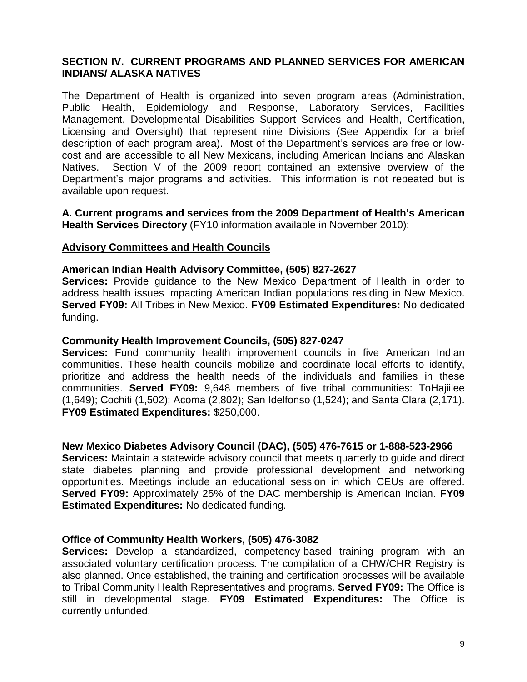## **SECTION IV. CURRENT PROGRAMS AND PLANNED SERVICES FOR AMERICAN INDIANS/ ALASKA NATIVES**

The Department of Health is organized into seven program areas (Administration, Public Health, Epidemiology and Response, Laboratory Services, Facilities Management, Developmental Disabilities Support Services and Health, Certification, Licensing and Oversight) that represent nine Divisions (See Appendix for a brief description of each program area). Management, Developmental Disabilities Support Services and Health, Certification,<br>Licensing and Oversight) that represent nine Divisions (See Appendix for a brief<br>description of each pro cost and are accessible to all New Mexicans, including American Indians and Alaskan Departmentís major programs and activities. This information is not repeated but is Natives. Section V of the 2009 report contained an extensive overview of the available upon request. **A.** Current *c* major programs and activities. This information is not repeated but is available upon request.<br> **A.** Current programs and services from the 2009 Department of Health's American

**Health Services Directory** (FY10 information available in November 2010):

#### **Advisory Committees and Health Councils**

## **American Indian Health Advisory Committee, (505) 827-2627**

**Services:** Provide guidance to the New Mexico Department of Health in order to address health issues impacting American Indian populations residing in New Mexico. **Served FY09:** All Tribes in New Mexico. **FY09 Estimated Expenditures:** No dedicated funding.

#### **Community Health Improvement Councils, (505) 827-0247**

**Services:** Fund community health improvement councils in five American Indian communities. These health councils mobilize and coordinate local efforts to identify, prioritize and address the health needs of the individuals and families in these communities. **Served FY09:** 9,648 members of five tribal communities: ToHajiilee (1,649); Cochiti (1,502); Acoma (2,802); San Idelfonso (1,524); and Santa Clara (2,171). **FY09 Estimated Expenditures:** \$250,000.

## **New Mexico Diabetes Advisory Council (DAC), (505) 476-7615 or 1-888-523-2966**

**Services:** Maintain a statewide advisory council that meets quarterly to guide and direct state diabetes planning and provide professional development and networking opportunities. Meetings include an educational session in which CEUs are offered. **Served FY09:** Approximately 25% of the DAC membership is American Indian. **FY09 Estimated Expenditures:** No dedicated funding.

#### **Office of Community Health Workers, (505) 476-3082**

**Services:** Develop a standardized, competency-based training program with an associated voluntary certification process. The compilation of a CHW/CHR Registry is also planned. Once established, the training and certification processes will be available to Tribal Community Health Representatives and programs. **Served FY09:** The Office is still in developmental stage. **FY09 Estimated Expenditures:** The Office is currently unfunded.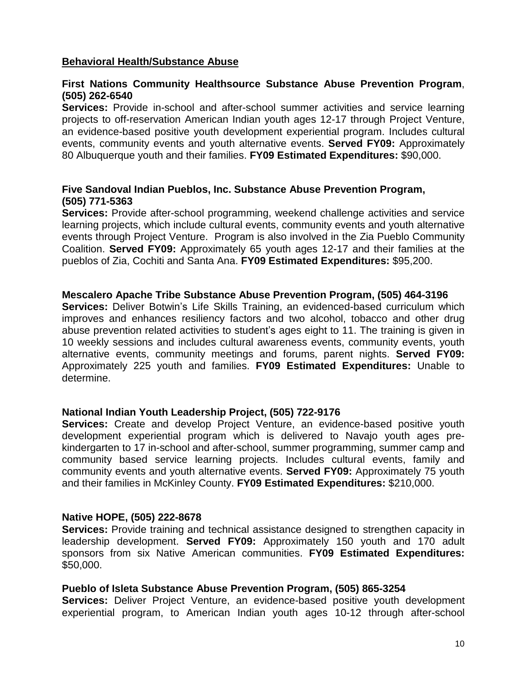## **Behavioral Health/Substance Abuse**

## **First Nations Community Healthsource Substance Abuse Prevention Program**, **(505) 262-6540**

**Services:** Provide in-school and after-school summer activities and service learning projects to off-reservation American Indian youth ages 12-17 through Project Venture, an evidence-based positive youth development experiential program. Includes cultural events, community events and youth alternative events. **Served FY09:** Approximately 80 Albuquerque youth and their families. **FY09 Estimated Expenditures:** \$90,000.

## **Five Sandoval Indian Pueblos, Inc. Substance Abuse Prevention Program, (505) 771-5363**

**Services:** Provide after-school programming, weekend challenge activities and service learning projects, which include cultural events, community events and youth alternative events through Project Venture. Program is also involved in the Zia Pueblo Community Coalition. **Served FY09:** Approximately 65 youth ages 12-17 and their families at the pueblos of Zia, Cochiti and Santa Ana. **FY09 Estimated Expenditures:** \$95,200.

#### **Mescalero Apache Tribe Substance Abuse Prevention Program, (505) 464-3196**

**Mescalero Apache Tribe Substance Abuse Prevention Program, (505) 464-3196**<br>**Services:** Deliver Botwin's Life Skills Training, an evidenced-based curriculum which improves and enhances resiliency factors and two alcohol, tobacco and other drug Services: Deliver Botwin's Life Skills Training, an evidenced-based curriculum which<br>improves and enhances resiliency factors and two alcohol, tobacco and other drug<br>abuse prevention related activities to student's ages ei 10 weekly sessions and includes cultural awareness events, community events, youth alternative events, community meetings and forums, parent nights. **Served FY09:** Approximately 225 youth and families. **FY09 Estimated Expenditures:** Unable to determine.

#### **National Indian Youth Leadership Project, (505) 722-9176**

**Services:** Create and develop Project Venture, an evidence-based positive youth development experiential program which is delivered to Navajo youth ages pre kindergarten to 17 in-school and after-school, summer programming, summer camp and community based service learning projects. Includes cultural events, family and community events and youth alternative events. **Served FY09:** Approximately 75 youth and their families in McKinley County. **FY09 Estimated Expenditures:** \$210,000.

#### **Native HOPE, (505) 222-8678**

**Services:** Provide training and technical assistance designed to strengthen capacity in leadership development. **Served FY09:** Approximately 150 youth and 170 adult sponsors from six Native American communities. **FY09 Estimated Expenditures:** \$50,000.

#### **Pueblo of Isleta Substance Abuse Prevention Program, (505) 865-3254**

**Services:** Deliver Project Venture, an evidence-based positive youth development experiential program, to American Indian youth ages 10-12 through after-school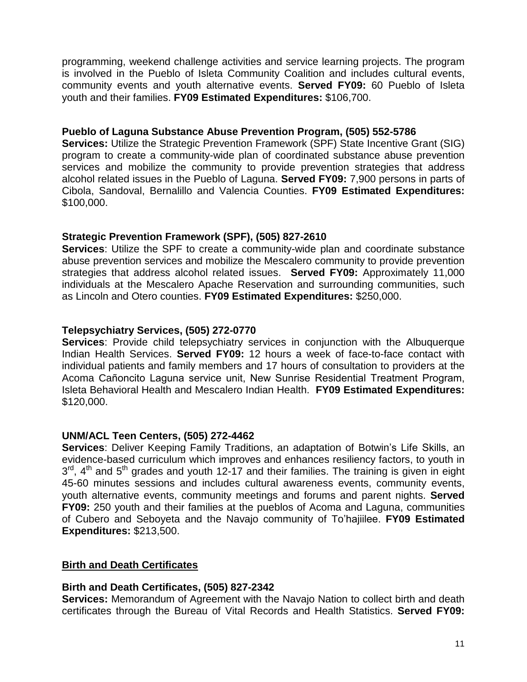programming, weekend challenge activities and service learning projects. The program is involved in the Pueblo of Isleta Community Coalition and includes cultural events, community events and youth alternative events. **Served FY09:** 60 Pueblo of Isleta youth and their families. **FY09 Estimated Expenditures:** \$106,700.

## **Pueblo of Laguna Substance Abuse Prevention Program, (505) 552-5786**

**Services:** Utilize the Strategic Prevention Framework (SPF) State Incentive Grant (SIG) program to create a community-wide plan of coordinated substance abuse prevention services and mobilize the community to provide prevention strategies that address alcohol related issues in the Pueblo of Laguna. **Served FY09:** 7,900 persons in parts of Cibola, Sandoval, Bernalillo and Valencia Counties. **FY09 Estimated Expenditures:** \$100,000.

## **Strategic Prevention Framework (SPF), (505) 827-2610**

**Services**: Utilize the SPF to create a community-wide plan and coordinate substance abuse prevention services and mobilize the Mescalero community to provide prevention strategies that address alcohol related issues. **Served FY09:** Approximately 11,000 individuals at the Mescalero Apache Reservation and surrounding communities, such as Lincoln and Otero counties. **FY09 Estimated Expenditures:** \$250,000.

## **Telepsychiatry Services, (505) 272-0770**

**Services**: Provide child telepsychiatry services in conjunction with the Albuquerque Indian Health Services. **Served FY09:** 12 hours a week of face-to-face contact with individual patients and family members and 17 hours of consultation to providers at the Acoma Cañoncito Laguna service unit, New Sunrise R individual patients and family members and 17 hours of consultation to providers at the Isleta Behavioral Health and Mescalero Indian Health. **FY09 Estimated Expenditures:** \$120,000.

## **UNM/ACL Teen Centers, (505) 272-4462**

**Services**: Deliver Keeping Family Traditions, an adaptation of Botwin's Life Skills, an evidence-based curriculum which improves and enhances resiliency factors, to youth in  $3<sup>rd</sup>$ , 4<sup>th</sup> and 5<sup>th</sup> grades and youth 12-17 and their families. The training is given in eight 45-60 minutes sessions and includes cultural awareness events, community events, youth alternative events, community meetings and forums and parent nights. **Served** of Cubero and Seboyeta and the Navajo community of Toíhajiilee. **FY09 Estimated FY09:** 250 youth and their families at the pueblos of Acoma and Laguna, communities **Expenditures:** \$213,500.

## **Birth and Death Certificates**

## **Birth and Death Certificates, (505) 827-2342**

**Services:** Memorandum of Agreement with the Navajo Nation to collect birth and death certificates through the Bureau of Vital Records and Health Statistics. **Served FY09:**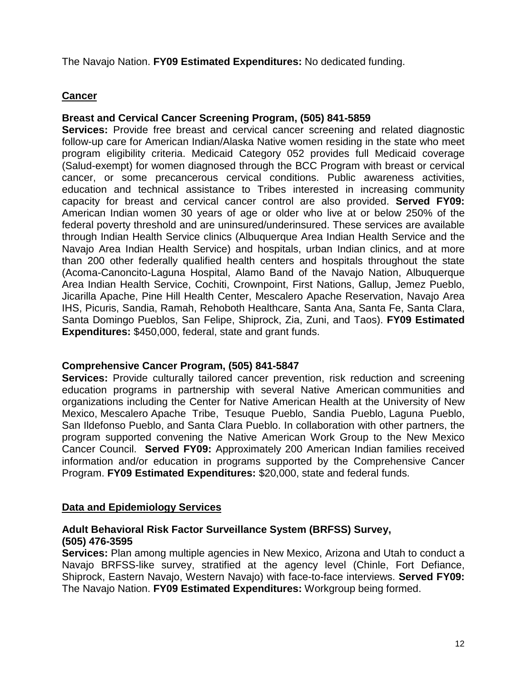The Navajo Nation. **FY09 Estimated Expenditures:** No dedicated funding.

## **Cancer**

## **Breast and Cervical Cancer Screening Program, (505) 841-5859**

**Services:** Provide free breast and cervical cancer screening and related diagnostic follow-up care for American Indian/Alaska Native women residing in the state who meet program eligibility criteria. Medicaid Category 052 provides full Medicaid coverage (Salud-exempt) for women diagnosed through the BCC Program with breast or cervical cancer, or some precancerous cervical conditions. Public awareness activities, education and technical assistance to Tribes interested in increasing community capacity for breast and cervical cancer control are also provided. **Served FY09:** American Indian women 30 years of age or older who live at or below 250% of the federal poverty threshold and are uninsured/underinsured. These services are available through Indian Health Service clinics (Albuquerque Area Indian Health Service and the Navajo Area Indian Health Service) and hospitals, urban Indian clinics, and at more than 200 other federally qualified health centers and hospitals throughout the state (Acoma-Canoncito-Laguna Hospital, Alamo Band of the Navajo Nation, Albuquerque Area Indian Health Service, Cochiti, Crownpoint, First Nations, Gallup, Jemez Pueblo, Jicarilla Apache, Pine Hill Health Center, Mescalero Apache Reservation, Navajo Area IHS, Picuris, Sandia, Ramah, Rehoboth Healthcare, Santa Ana, Santa Fe, Santa Clara, Santa Domingo Pueblos, San Felipe, Shiprock, Zia, Zuni, and Taos). **FY09 Estimated Expenditures:** \$450,000, federal, state and grant funds.

## **Comprehensive Cancer Program, (505) 841-5847**

**Services:** Provide culturally tailored cancer prevention, risk reduction and screening education programs in partnership with several Native American communities and organizations including the Center for Native American Health at the University of New Mexico, Mescalero Apache Tribe, Tesuque Pueblo, Sandia Pueblo, Laguna Pueblo, San Ildefonso Pueblo, and Santa Clara Pueblo. In collaboration with other partners, the program supported convening the Native American Work Group to the New Mexico Cancer Council. **Served FY09:** Approximately 200 American Indian families received information and/or education in programs supported by the Comprehensive Cancer Program. **FY09 Estimated Expenditures:** \$20,000, state and federal funds.

## **Data and Epidemiology Services**

## **Adult Behavioral Risk Factor Surveillance System (BRFSS) Survey, (505) 476-3595**

**Services:** Plan among multiple agencies in New Mexico, Arizona and Utah to conduct a Navajo BRFSS-like survey, stratified at the agency level (Chinle, Fort Defiance, Shiprock, Eastern Navajo, Western Navajo) with face-to-face interviews. **Served FY09:** The Navajo Nation. **FY09 Estimated Expenditures:** Workgroup being formed.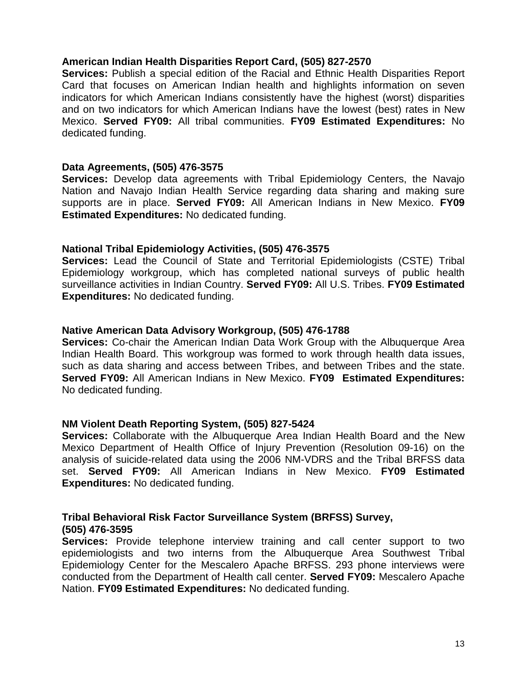## **American Indian Health Disparities Report Card, (505) 827-2570**

**Services:** Publish a special edition of the Racial and Ethnic Health Disparities Report Card that focuses on American Indian health and highlights information on seven indicators for which American Indians consistently have the highest (worst) disparities and on two indicators for which American Indians have the lowest (best) rates in New Mexico. **Served FY09:** All tribal communities. **FY09 Estimated Expenditures:** No dedicated funding.

#### **Data Agreements, (505) 476-3575**

**Services:** Develop data agreements with Tribal Epidemiology Centers, the Navajo Nation and Navajo Indian Health Service regarding data sharing and making sure supports are in place. **Served FY09:** All American Indians in New Mexico. **FY09 Estimated Expenditures:** No dedicated funding.

## **National Tribal Epidemiology Activities, (505) 476-3575**

**Services:** Lead the Council of State and Territorial Epidemiologists (CSTE) Tribal Epidemiology workgroup, which has completed national surveys of public health surveillance activities in Indian Country. **Served FY09:** All U.S. Tribes. **FY09 Estimated Expenditures:** No dedicated funding.

## **Native American Data Advisory Workgroup, (505) 476-1788**

**Services:** Co-chair the American Indian Data Work Group with the Albuquerque Area Indian Health Board. This workgroup was formed to work through health data issues, such as data sharing and access between Tribes, and between Tribes and the state. **Served FY09:** All American Indians in New Mexico. **FY09 Estimated Expenditures:** No dedicated funding.

#### **NM Violent Death Reporting System, (505) 827-5424**

**Services:** Collaborate with the Albuquerque Area Indian Health Board and the New Mexico Department of Health Office of Injury Prevention (Resolution 09-16) on the analysis of suicide-related data using the 2006 NM-VDRS and the Tribal BRFSS data set. **Served FY09:** All American Indians in New Mexico. **FY09 Estimated Expenditures:** No dedicated funding.

## **Tribal Behavioral Risk Factor Surveillance System (BRFSS) Survey, (505) 476-3595**

**Services:** Provide telephone interview training and call center support to two epidemiologists and two interns from the Albuquerque Area Southwest Tribal Epidemiology Center for the Mescalero Apache BRFSS. 293 phone interviews were conducted from the Department of Health call center. **Served FY09:** Mescalero Apache Nation. **FY09 Estimated Expenditures:** No dedicated funding.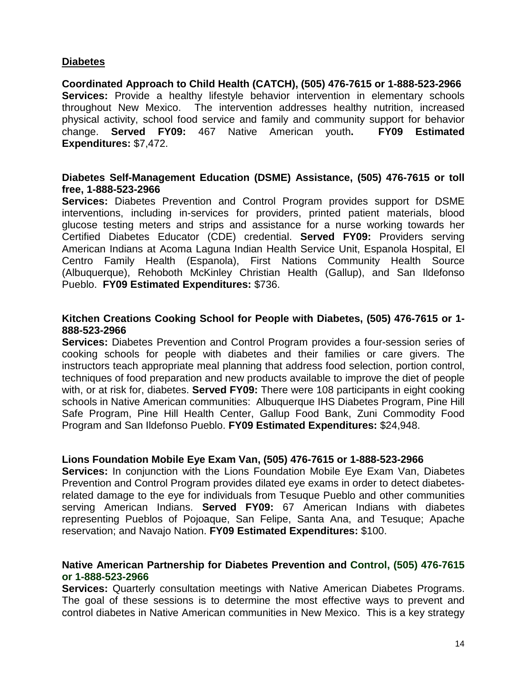## **Diabetes**

**Coordinated Approach to Child Health (CATCH), (505) 476-7615 or 1-888-523-2966 Services:** Provide a healthy lifestyle behavior intervention in elementary schools throughout New Mexico. The intervention addresses healthy nutrition, increased physical activity, school food service and family and community support for behavior change. **Served FY09:** 467 Native American youth**. FY09 Estimated Expenditures:** \$7,472.

## **Diabetes Self-Management Education (DSME) Assistance, (505) 476-7615 or toll free, 1-888-523-2966**

**Services:** Diabetes Prevention and Control Program provides support for DSME interventions, including in-services for providers, printed patient materials, blood glucose testing meters and strips and assistance for a nurse working towards her Certified Diabetes Educator (CDE) credential. **Served FY09:** Providers serving American Indians at Acoma Laguna Indian Health Service Unit, Espanola Hospital, El Centro Family Health (Espanola), First Nations Community Health Source (Albuquerque), Rehoboth McKinley Christian Health (Gallup), and San Ildefonso Pueblo. **FY09 Estimated Expenditures:** \$736.

## **Kitchen Creations Cooking School for People with Diabetes, (505) 476-7615 or 1- 888-523-2966**

**Services:** Diabetes Prevention and Control Program provides a four-session series of cooking schools for people with diabetes and their families or care givers. The instructors teach appropriate meal planning that address food selection, portion control, techniques of food preparation and new products available to improve the diet of people with, or at risk for, diabetes. **Served FY09:** There were 108 participants in eight cooking schools in Native American communities: Albuquerque IHS Diabetes Program, Pine Hill Safe Program, Pine Hill Health Center, Gallup Food Bank, Zuni Commodity Food Program and San Ildefonso Pueblo. **FY09 Estimated Expenditures:** \$24,948.

#### **Lions Foundation Mobile Eye Exam Van, (505) 476-7615 or 1-888-523-2966**

**Services:** In conjunction with the Lions Foundation Mobile Eye Exam Van, Diabetes Prevention and Control Program provides dilated eye exams in order to detect diabetesrelated damage to the eye for individuals from Tesuque Pueblo and other communities serving American Indians. **Served FY09:** 67 American Indians with diabetes representing Pueblos of Pojoaque, San Felipe, Santa Ana, and Tesuque; Apache reservation; and Navajo Nation. **FY09 Estimated Expenditures:** \$100.

## **Native American Partnership for Diabetes Prevention and Control, (505) 476-7615 or 1-888-523-2966**

**Services:** Quarterly consultation meetings with Native American Diabetes Programs. The goal of these sessions is to determine the most effective ways to prevent and control diabetes in Native American communities in New Mexico. This is a key strategy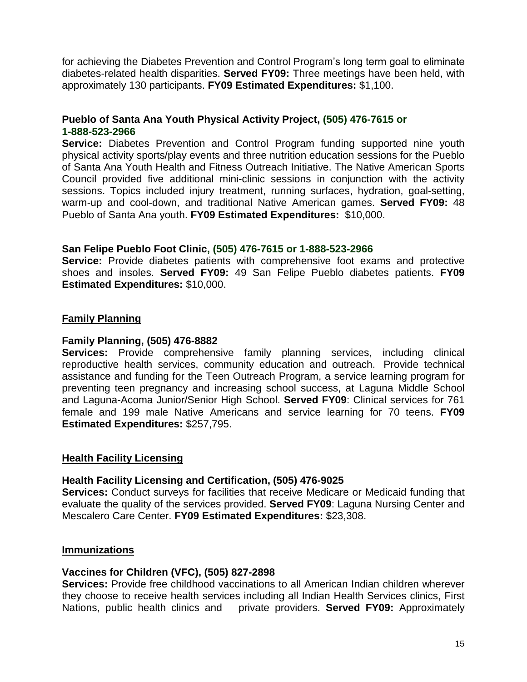for achieving the Diabetes Prevention and Control Program's long term goal to eliminate diabetes-related health disparities. **Served FY09:** Three meetings have been held, with approximately 130 participants. **FY09 Estimated Expenditures:** \$1,100.

## **Pueblo of Santa Ana Youth Physical Activity Project, (505) 476-7615 or 1-888-523-2966**

**Service:** Diabetes Prevention and Control Program funding supported nine youth physical activity sports/play events and three nutrition education sessions for the Pueblo of Santa Ana Youth Health and Fitness Outreach Initiative. The Native American Sports Council provided five additional mini-clinic sessions in conjunction with the activity sessions. Topics included injury treatment, running surfaces, hydration, goal-setting, warm-up and cool-down, and traditional Native American games. **Served FY09:** 48 Pueblo of Santa Ana youth. **FY09 Estimated Expenditures:** \$10,000.

## **San Felipe Pueblo Foot Clinic, (505) 476-7615 or 1-888-523-2966**

**Service:** Provide diabetes patients with comprehensive foot exams and protective shoes and insoles. **Served FY09:** 49 San Felipe Pueblo diabetes patients. **FY09 Estimated Expenditures:** \$10,000.

# **Family Planning**

## **Family Planning, (505) 476-8882**

**Services:** Provide comprehensive family planning services, including clinical reproductive health services, community education and outreach. Provide technical assistance and funding for the Teen Outreach Program, a service learning program for preventing teen pregnancy and increasing school success, at Laguna Middle School and Laguna-Acoma Junior/Senior High School. **Served FY09**: Clinical services for 761 female and 199 male Native Americans and service learning for 70 teens. **FY09 Estimated Expenditures:** \$257,795.

## **Health Facility Licensing**

## **Health Facility Licensing and Certification, (505) 476-9025**

**Services:** Conduct surveys for facilities that receive Medicare or Medicaid funding that evaluate the quality of the services provided. **Served FY09**: Laguna Nursing Center and Mescalero Care Center. **FY09 Estimated Expenditures:** \$23,308.

## **Immunizations**

## **Vaccines for Children (VFC), (505) 827-2898**

**Services:** Provide free childhood vaccinations to all American Indian children wherever they choose to receive health services including all Indian Health Services clinics, First Nations, public health clinics and private providers. **Served FY09:** Approximately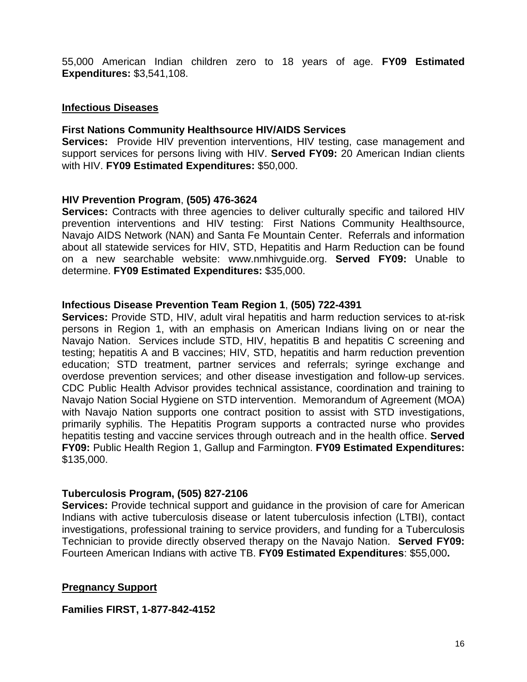55,000 American Indian children zero to 18 years of age. **FY09 Estimated Expenditures:** \$3,541,108.

#### **Infectious Diseases**

## **First Nations Community Healthsource HIV/AIDS Services**

**Services:** Provide HIV prevention interventions, HIV testing, case management and support services for persons living with HIV. **Served FY09:** 20 American Indian clients with HIV. **FY09 Estimated Expenditures:** \$50,000.

## **HIV Prevention Program**, **(505) 476-3624**

**Services:** Contracts with three agencies to deliver culturally specific and tailored HIV prevention interventions and HIV testing: First Nations Community Healthsource, Navajo AIDS Network (NAN) and Santa Fe Mountain Center. Referrals and information about all statewide services for HIV, STD, Hepatitis and Harm Reduction can be found on a new searchable website: [www.nmhivguide.org.](http://www.nmhivguide.org.) **Served FY09:** Unable to determine. **FY09 Estimated Expenditures:** \$35,000.

## **Infectious Disease Prevention Team Region 1**, **(505) 722-4391**

**Services:** Provide STD, HIV, adult viral hepatitis and harm reduction services to at-risk persons in Region 1, with an emphasis on American Indians living on or near the Navajo Nation. Services include STD, HIV, hepatitis B and hepatitis C screening and testing; hepatitis A and B vaccines; HIV, STD, hepatitis and harm reduction prevention education; STD treatment, partner services and referrals; syringe exchange and overdose prevention services; and other disease investigation and follow-up services. CDC Public Health Advisor provides technical assistance, coordination and training to Navajo Nation Social Hygiene on STD intervention. Memorandum of Agreement (MOA) with Navajo Nation supports one contract position to assist with STD investigations, primarily syphilis. The Hepatitis Program supports a contracted nurse who provides hepatitis testing and vaccine services through outreach and in the health office. **Served FY09:** Public Health Region 1, Gallup and Farmington. **FY09 Estimated Expenditures:** \$135,000.

## **Tuberculosis Program, (505) 827-2106**

**Services:** Provide technical support and guidance in the provision of care for American Indians with active tuberculosis disease or latent tuberculosis infection (LTBI), contact investigations, professional training to service providers, and funding for a Tuberculosis Technician to provide directly observed therapy on the Navajo Nation. **Served FY09:** Fourteen American Indians with active TB. **FY09 Estimated Expenditures**: \$55,000**.**

## **Pregnancy Support**

**Families FIRST, 1-877-842-4152**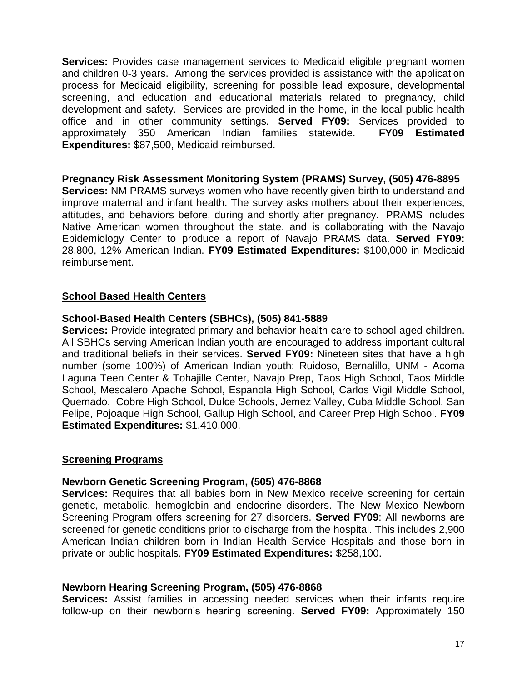**Services:** Provides case management services to Medicaid eligible pregnant women and children 0-3 years. Among the services provided is assistance with the application process for Medicaid eligibility, screening for possible lead exposure, developmental screening, and education and educational materials related to pregnancy, child development and safety. Services are provided in the home, in the local public health office and in other community settings. **Served FY09:** Services provided to approximately 350 American Indian families statewide. **FY09 Estimated Expenditures:** \$87,500, Medicaid reimbursed.

## **Pregnancy Risk Assessment Monitoring System (PRAMS) Survey, (505) 476-8895**

**Services:** NM PRAMS surveys women who have recently given birth to understand and improve maternal and infant health. The survey asks mothers about their experiences, attitudes, and behaviors before, during and shortly after pregnancy. PRAMS includes Native American women throughout the state, and is collaborating with the Navajo Epidemiology Center to produce a report of Navajo PRAMS data. **Served FY09:** 28,800, 12% American Indian. **FY09 Estimated Expenditures:** \$100,000 in Medicaid reimbursement.

## **School Based Health Centers**

## **School-Based Health Centers (SBHCs), (505) 841-5889**

**Services:** Provide integrated primary and behavior health care to school-aged children. All SBHCs serving American Indian youth are encouraged to address important cultural and traditional beliefs in their services. **Served FY09:** Nineteen sites that have a high number (some 100%) of American Indian youth: Ruidoso, Bernalillo, UNM - Acoma Laguna Teen Center & Tohajille Center, Navajo Prep, Taos High School, Taos Middle School, Mescalero Apache School, Espanola High School, Carlos Vigil Middle School, Quemado, Cobre High School, Dulce Schools, Jemez Valley, Cuba Middle School, San Felipe, Pojoaque High School, Gallup High School, and Career Prep High School. **FY09 Estimated Expenditures:** \$1,410,000.

#### **Screening Programs**

#### **Newborn Genetic Screening Program, (505) 476-8868**

**Services:** Requires that all babies born in New Mexico receive screening for certain genetic, metabolic, hemoglobin and endocrine disorders. The New Mexico Newborn Screening Program offers screening for 27 disorders. **Served FY09**: All newborns are screened for genetic conditions prior to discharge from the hospital. This includes 2,900 American Indian children born in Indian Health Service Hospitals and those born in private or public hospitals. **FY09 Estimated Expenditures:** \$258,100.

## **Newborn Hearing Screening Program, (505) 476-8868**

**Services:** Assist families in accessing needed services when their infants require follow-up on their newbornís hearing screening. **Served FY09:** Approximately <sup>150</sup>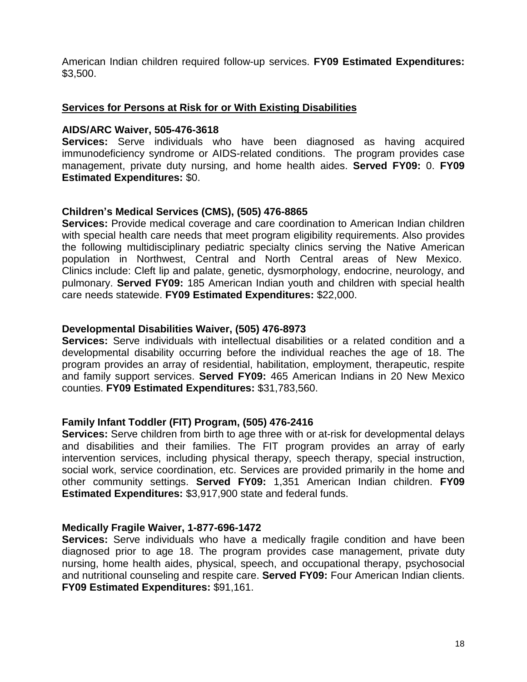American Indian children required follow-up services. **FY09 Estimated Expenditures:** \$3,500.

## **Services for Persons at Risk for or With Existing Disabilities**

#### **AIDS/ARC Waiver, 505-476-3618**

**Services:** Serve individuals who have been diagnosed as having acquired immunodeficiency syndrome or AIDS-related conditions. The program provides case management, private duty nursing, and home health aides. **Served FY09:** 0. **FY09 Estimated Expenditures:** \$0.

## **Childrení<sup>s</sup> Medical Services (CMS), (505) 476-8865**

**Services:** Provide medical coverage and care coordination to American Indian children with special health care needs that meet program eligibility requirements. Also provides the following multidisciplinary pediatric specialty clinics serving the Native American population in Northwest, Central and North Central areas of New Mexico. Clinics include: Cleft lip and palate, genetic, dysmorphology, endocrine, neurology, and pulmonary. **Served FY09:** 185 American Indian youth and children with special health care needs statewide. **FY09 Estimated Expenditures:** \$22,000.

## **Developmental Disabilities Waiver, (505) 476-8973**

**Services:** Serve individuals with intellectual disabilities or a related condition and a developmental disability occurring before the individual reaches the age of 18. The program provides an array of residential, habilitation, employment, therapeutic, respite and family support services. **Served FY09:** 465 American Indians in 20 New Mexico counties. **FY09 Estimated Expenditures:** \$31,783,560.

#### **Family Infant Toddler (FIT) Program, (505) 476-2416**

**Services:** Serve children from birth to age three with or at-risk for developmental delays and disabilities and their families. The FIT program provides an array of early intervention services, including physical therapy, speech therapy, special instruction, social work, service coordination, etc. Services are provided primarily in the home and other community settings. **Served FY09:** 1,351 American Indian children. **FY09 Estimated Expenditures:** \$3,917,900 state and federal funds.

#### **Medically Fragile Waiver, 1-877-696-1472**

**Services:** Serve individuals who have a medically fragile condition and have been diagnosed prior to age 18. The program provides case management, private duty nursing, home health aides, physical, speech, and occupational therapy, psychosocial and nutritional counseling and respite care. **Served FY09:** Four American Indian clients. **FY09 Estimated Expenditures:** \$91,161.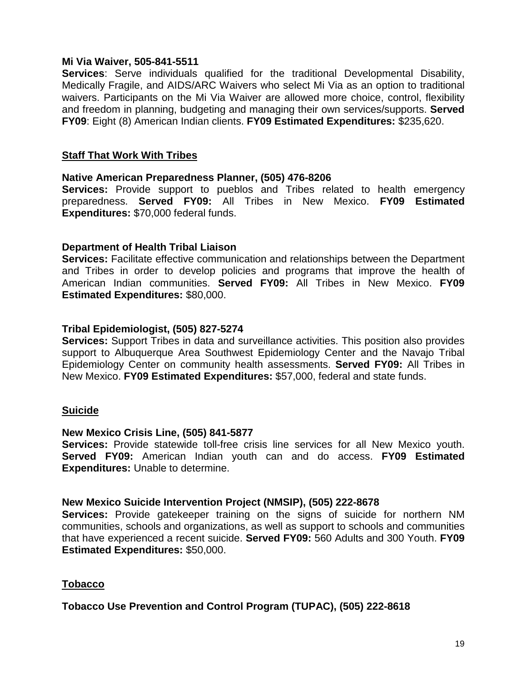#### **Mi Via Waiver, 505-841-5511**

**Services**: Serve individuals qualified for the traditional Developmental Disability, Medically Fragile, and AIDS/ARC Waivers who select Mi Via as an option to traditional waivers. Participants on the Mi Via Waiver are allowed more choice, control, flexibility and freedom in planning, budgeting and managing their own services/supports. **Served FY09**: Eight (8) American Indian clients. **FY09 Estimated Expenditures:** \$235,620.

## **Staff That Work With Tribes**

## **Native American Preparedness Planner, (505) 476-8206**

**Services:** Provide support to pueblos and Tribes related to health emergency preparedness. **Served FY09:** All Tribes in New Mexico. **FY09 Estimated Expenditures:** \$70,000 federal funds.

## **Department of Health Tribal Liaison**

**Services:** Facilitate effective communication and relationships between the Department and Tribes in order to develop policies and programs that improve the health of American Indian communities. **Served FY09:** All Tribes in New Mexico. **FY09 Estimated Expenditures:** \$80,000.

## **Tribal Epidemiologist, (505) 827-5274**

**Services:** Support Tribes in data and surveillance activities. This position also provides support to Albuquerque Area Southwest Epidemiology Center and the Navajo Tribal Epidemiology Center on community health assessments. **Served FY09:** All Tribes in New Mexico. **FY09 Estimated Expenditures:** \$57,000, federal and state funds.

#### **Suicide**

#### **New Mexico Crisis Line, (505) 841-5877**

**Services:** Provide statewide toll-free crisis line services for all New Mexico youth. **Served FY09:** American Indian youth can and do access. **FY09 Estimated Expenditures:** Unable to determine.

## **New Mexico Suicide Intervention Project (NMSIP), (505) 222-8678**

**Services:** Provide gatekeeper training on the signs of suicide for northern NM communities, schools and organizations, as well as support to schools and communities that have experienced a recent suicide. **Served FY09:** 560 Adults and 300 Youth. **FY09 Estimated Expenditures:** \$50,000.

## **Tobacco**

## **Tobacco Use Prevention and Control Program (TUPAC), (505) 222-8618**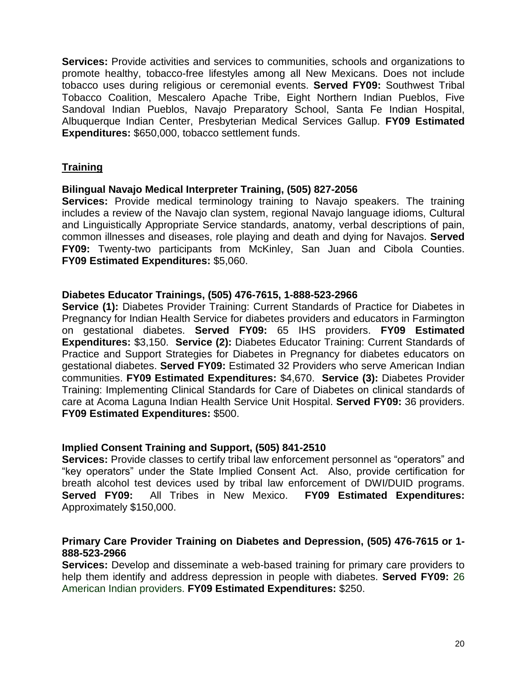**Services:** Provide activities and services to communities, schools and organizations to promote healthy, tobacco-free lifestyles among all New Mexicans. Does not include tobacco uses during religious or ceremonial events. **Served FY09:** Southwest Tribal Tobacco Coalition, Mescalero Apache Tribe, Eight Northern Indian Pueblos, Five Sandoval Indian Pueblos, Navajo Preparatory School, Santa Fe Indian Hospital, Albuquerque Indian Center, Presbyterian Medical Services Gallup. **FY09 Estimated Expenditures:** \$650,000, tobacco settlement funds.

# **Training**

## **Bilingual Navajo Medical Interpreter Training, (505) 827-2056**

**Services:** Provide medical terminology training to Navajo speakers. The training includes a review of the Navajo clan system, regional Navajo language idioms, Cultural and Linguistically Appropriate Service standards, anatomy, verbal descriptions of pain, common illnesses and diseases, role playing and death and dying for Navajos. **Served FY09:** Twenty-two participants from McKinley, San Juan and Cibola Counties. **FY09 Estimated Expenditures:** \$5,060.

## **Diabetes Educator Trainings, (505) 476-7615, 1-888-523-2966**

**Service (1):** Diabetes Provider Training: Current Standards of Practice for Diabetes in Pregnancy for Indian Health Service for diabetes providers and educators in Farmington on gestational diabetes. **Served FY09:** 65 IHS providers. **FY09 Estimated Expenditures:** \$3,150. **Service (2):** Diabetes Educator Training: Current Standards of Practice and Support Strategies for Diabetes in Pregnancy for diabetes educators on gestational diabetes. **Served FY09:** Estimated 32 Providers who serve American Indian communities. **FY09 Estimated Expenditures:** \$4,670. **Service (3):** Diabetes Provider Training: Implementing Clinical Standards for Care of Diabetes on clinical standards of care at Acoma Laguna Indian Health Service Unit Hospital. **Served FY09:** 36 providers. **FY09 Estimated Expenditures:** \$500.

# **Implied Consent Training and Support, (505) 841-2510**

**Implied Consent Training and Support, (505) 841-2510**<br>**Services:** Provide classes to certify tribal law enforcement personnel as "operators" and **ed Consent Training and Support, (505) 841-2510**<br>ices: Provide classes to certify tribal law enforcement personnel as "operators" and<br>operators" under the State Implied Consent Act. Also, provide certification for breath alcohol test devices used by tribal law enforcement of DWI/DUID programs. **Served FY09:** All Tribes in New Mexico. **FY09 Estimated Expenditures:** Approximately \$150,000.

## **Primary Care Provider Training on Diabetes and Depression, (505) 476-7615 or 1- 888-523-2966**

**Services:** Develop and disseminate a web-based training for primary care providers to help them identify and address depression in people with diabetes. **Served FY09:** 26 American Indian providers. **FY09 Estimated Expenditures:** \$250.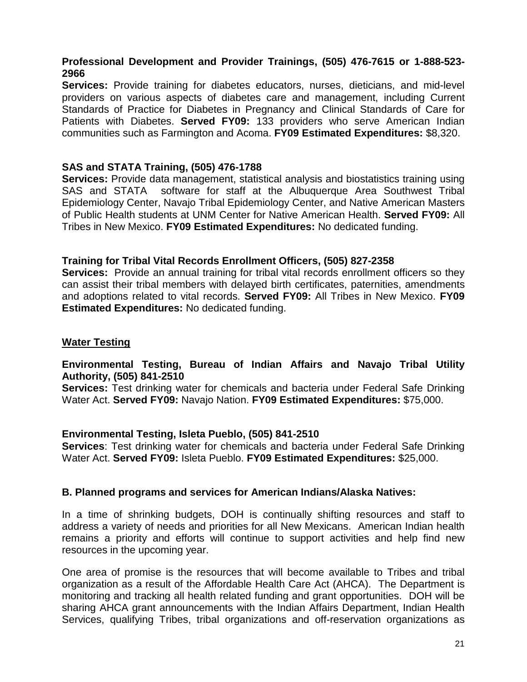## **Professional Development and Provider Trainings, (505) 476-7615 or 1-888-523- 2966**

**Services:** Provide training for diabetes educators, nurses, dieticians, and mid-level providers on various aspects of diabetes care and management, including Current Standards of Practice for Diabetes in Pregnancy and Clinical Standards of Care for Patients with Diabetes. **Served FY09:** 133 providers who serve American Indian communities such as Farmington and Acoma. **FY09 Estimated Expenditures:** \$8,320.

## **SAS and STATA Training, (505) 476-1788**

**Services:** Provide data management, statistical analysis and biostatistics training using SAS and STATA software for staff at the Albuquerque Area Southwest Tribal Epidemiology Center, Navajo Tribal Epidemiology Center, and Native American Masters of Public Health students at UNM Center for Native American Health. **Served FY09:** All Tribes in New Mexico. **FY09 Estimated Expenditures:** No dedicated funding.

## **Training forTribal Vital Records Enrollment Officers, (505) 827-2358**

**Services:** Provide an annual training for tribal vital records enrollment officers so they can assist their tribal members with delayed birth certificates, paternities, amendments and adoptions related to vital records. **Served FY09:** All Tribes in New Mexico. **FY09 Estimated Expenditures:** No dedicated funding.

## **Water Testing**

## **Environmental Testing, Bureau of Indian Affairs and Navajo Tribal Utility Authority, (505) 841-2510**

**Services:** Test drinking water for chemicals and bacteria under Federal Safe Drinking Water Act. **Served FY09:** Navajo Nation. **FY09 Estimated Expenditures:** \$75,000.

## **Environmental Testing, Isleta Pueblo, (505) 841-2510**

**Services**: Test drinking water for chemicals and bacteria under Federal Safe Drinking Water Act. **Served FY09:** Isleta Pueblo. **FY09 Estimated Expenditures:** \$25,000.

#### **B. Planned programs and services for American Indians/Alaska Natives:**

In a time of shrinking budgets, DOH is continually shifting resources and staff to address a variety of needs and priorities for all New Mexicans. American Indian health remains a priority and efforts will continue to support activities and help find new resources in the upcoming year.

One area of promise is the resources that will become available to Tribes and tribal organization as a result of the Affordable Health Care Act (AHCA). The Department is monitoring and tracking all health related funding and grant opportunities. DOH will be sharing AHCA grant announcements with the Indian Affairs Department, Indian Health Services, qualifying Tribes, tribal organizations and off-reservation organizations as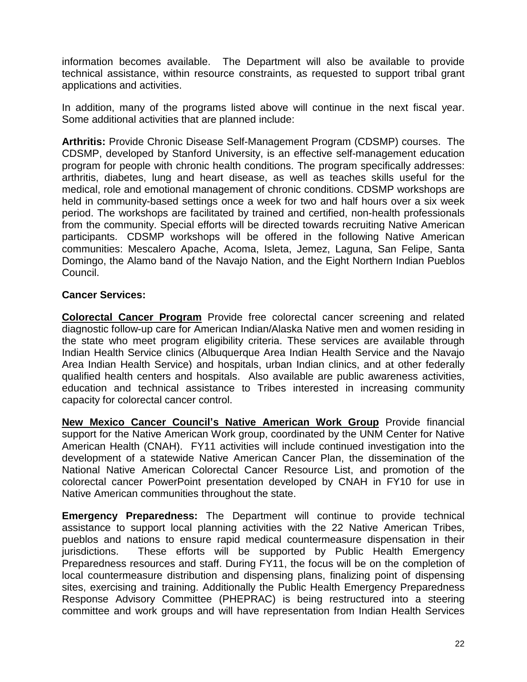information becomes available. The Department will also be available to provide technical assistance, within resource constraints, as requested to support tribal grant applications and activities.

In addition, many of the programs listed above will continue in the next fiscal year. Some additional activities that are planned include:

**Arthritis:** Provide Chronic Disease Self-Management Program (CDSMP) courses. The CDSMP, developed by Stanford University, is an effective self-management education program for people with chronic health conditions. The program specifically addresses: arthritis, diabetes, lung and heart disease, as well as teaches skills useful for the medical, role and emotional management of chronic conditions. CDSMP workshops are held in community-based settings once a week for two and half hours over a six week period. The workshops are facilitated by trained and certified, non-health professionals from the community. Special efforts will be directed towards recruiting Native American participants. CDSMP workshops will be offered in the following Native American communities: Mescalero Apache, Acoma, Isleta, Jemez, Laguna, San Felipe, Santa Domingo, the Alamo band of the Navajo Nation, and the Eight Northern Indian Pueblos Council.

# **Cancer Services:**

**Colorectal Cancer Program** Provide free colorectal cancer screening and related diagnostic follow-up care for American Indian/Alaska Native men and women residing in the state who meet program eligibility criteria. These services are available through Indian Health Service clinics (Albuquerque Area Indian Health Service and the Navajo Area Indian Health Service) and hospitals, urban Indian clinics, and at other federally qualified health centers and hospitals. Also available are public awareness activities, education and technical assistance to Tribes interested in increasing community capacity for colorectal cancer control.

**New Mexico Cancer Councilí<sup>s</sup> Native American Work Group** Provide financial support for the Native American Work group, coordinated by the UNM Center for Native American Health (CNAH). FY11 activities will include continued investigation into the development of a statewide Native American Cancer Plan, the dissemination of the National Native American Colorectal Cancer Resource List, and promotion of the colorectal cancer PowerPoint presentation developed by CNAH in FY10 for use in Native American communities throughout the state.

**Emergency Preparedness:** The Department will continue to provide technical assistance to support local planning activities with the 22 Native American Tribes, pueblos and nations to ensure rapid medical countermeasure dispensation in their jurisdictions. These efforts will be supported by Public Health Emergency Preparedness resources and staff. During FY11, the focus will be on the completion of local countermeasure distribution and dispensing plans, finalizing point of dispensing sites, exercising and training. Additionally the Public Health Emergency Preparedness Response Advisory Committee (PHEPRAC) is being restructured into a steering committee and work groups and will have representation from Indian Health Services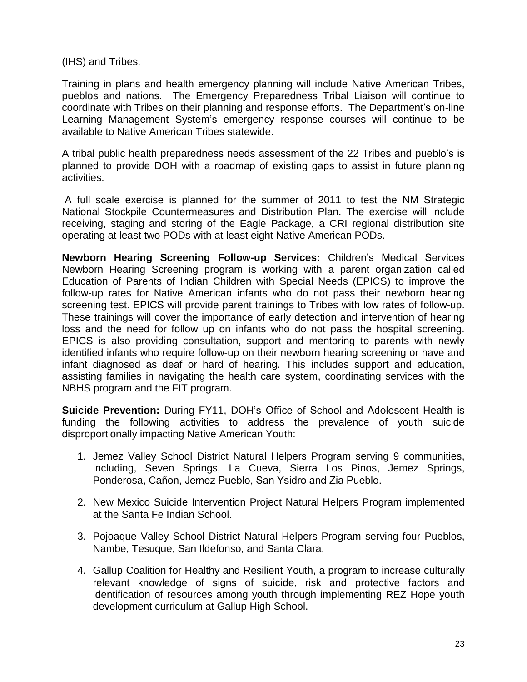(IHS) and Tribes.

Training in plans and health emergency planning will include Native American Tribes,<br>pueblos and nations. The Emergency Preparedness Tribal Liaison will continue to<br>coordinate with Tribes on their planning and response eff pueblos and nations. The Emergency Preparedness Tribal Liaison will continue to<br>coordinate with Tribes on their planning and response efforts. The Department's on-line<br>Learning Management System's emergency response course available to Native American Tribes statewide. Learning Management System's emergency response courses will continue to be available to Native American Tribes statewide.<br>A tribal public health preparedness needs assessment of the 22 Tribes and pueblo's is

planned to provide DOH with a roadmap of existing gaps to assist in future planning activities.

A full scale exercise is planned for the summer of 2011 to test the NM Strategic National Stockpile Countermeasures and Distribution Plan. The exercise will include receiving, staging and storing of the Eagle Package, a CRI regional distribution site operating at least two PODs with at least eight Native American PODs.

**Newborn Hearing Screening Follow-up Services:** Childrenís Medical Services Newborn Hearing Screening program is working with a parent organization called Education of Parents of Indian Children with Special Needs (EPICS) to improve the follow-up rates for Native American infants who do not pass their newborn hearing screening test. EPICS will provide parent trainings to Tribes with low rates of follow-up. These trainings will cover the importance of early detection and intervention of hearing loss and the need for follow up on infants who do not pass the hospital screening. EPICS is also providing consultation, support and mentoring to parents with newly identified infants who require follow-up on their newborn hearing screening or have and infant diagnosed as deaf or hard of hearing. This includes support and education, assisting families in navigating the health care system, coordinating services with the NBHS program and the FIT program.

**Suicide Prevention:** During FY11, DOHís Office of School and Adolescent Health is funding the following activities to address the prevalence of youth suicide disproportionally impacting Native American Youth:

- 1. Jemez Valley School District Natural Helpers Program serving 9 communities, including, Seven Springs, La Cueva, Sierra Los Pinos, Jemez Springs, Jemez Valley School District Natural Helpers Program serving 9<br>including, Seven Springs, La Cueva, Sierra Los Pinos, Jer<br>Ponderosa, Cañon, Jemez Pueblo, San Ysidro and Zia Pueblo.
- 2. New Mexico Suicide Intervention Project Natural Helpers Program implemented at the Santa Fe Indian School.
- 3. Pojoaque Valley School District Natural Helpers Program serving four Pueblos, Nambe, Tesuque, San Ildefonso, and Santa Clara.
- 4. Gallup Coalition for Healthy and Resilient Youth, a program to increase culturally relevant knowledge of signs of suicide, risk and protective factors and identification of resources among youth through implementing REZ Hope youth development curriculum at Gallup High School.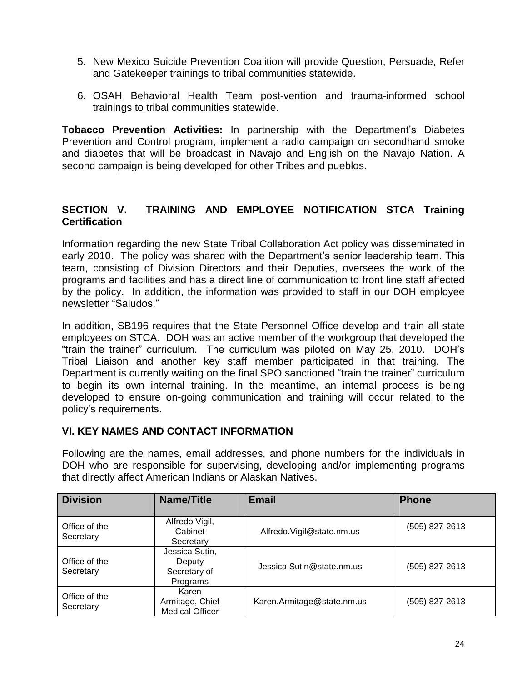- 5. New Mexico Suicide Prevention Coalition will provide Question, Persuade, Refer and Gatekeeper trainings to tribal communities statewide.
- 6. OSAH Behavioral Health Team post-vention and trauma-informed school trainings to tribal communities statewide.

**Tobacco Prevention Activities:** In partnership with the Department's Diabetes Prevention and Control program, implement a radio campaign on secondhand smoke and diabetes that will be broadcast in Navajo and English on the Navajo Nation. A second campaign is being developed for other Tribes and pueblos.

## **SECTION V. TRAINING AND EMPLOYEE NOTIFICATION STCA Training Certification**

Information regarding the new State Tribal Collaboration Act policy was disseminated in ocranoation<br>Information regarding the new State Tribal Collaboration Act policy was disseminated in<br>early 2010. The policy was shared with the Department's senior leadership team. This team, consisting of Division Directors and their Deputies, oversees the work of the programs and facilities and has a direct line of communication to front line staff affected<br>by the policy. In addition, the information was provided to staff in our DOH employee<br>newsletter "Saludos." by the policy. In addition, the information was provided to staff in our DOH employee

In addition, SB196 requires that the State Personnel Office develop and train all state ìemployees on STCA. DOH was an active member of the workgroup that developed the n addition, SB196 requires that the State Personnel Office develop and train all state<br>employees on STCA. DOH was an active member of the workgroup that developed the<br>train the trainer" curriculum. The curriculum was pilot Tribal Liaison and another key staff member participated in that training. The The train the trainer" curriculum. The curriculum was piloted on May 25, 2010. DOH's<br>Tribal Liaison and another key staff member participated in that training. The<br>Department is currently waiting on the final SPO sanctione to begin its own internal training. In the meantime, an internal process is being developed to ensure on-going communication and training will occur related to the political community<br>into begin its own interna<br>policy's requirements.

# **VI. KEY NAMES AND CONTACT INFORMATION**

Following are the names, email addresses, and phone numbers for the individuals in DOH who are responsible for supervising, developing and/or implementing programs that directly affect American Indians or Alaskan Natives.

| <b>Division</b>            | Name/Title                                           | <b>Email</b>               | <b>Phone</b>   |
|----------------------------|------------------------------------------------------|----------------------------|----------------|
| Office of the<br>Secretary | Alfredo Vigil,<br>Cabinet<br>Secretary               | Alfredo. Vigil@state.nm.us | (505) 827-2613 |
| Office of the<br>Secretary | Jessica Sutin,<br>Deputy<br>Secretary of<br>Programs | Jessica.Sutin@state.nm.us  | (505) 827-2613 |
| Office of the<br>Secretary | Karen<br>Armitage, Chief<br><b>Medical Officer</b>   | Karen.Armitage@state.nm.us | (505) 827-2613 |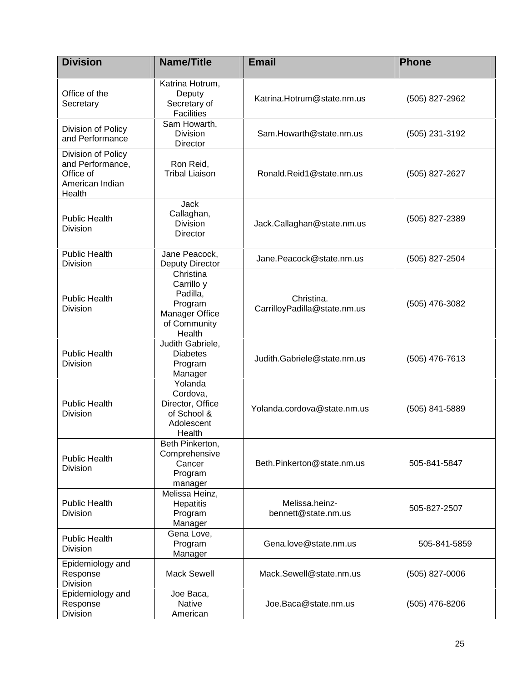| <b>Division</b>                                                                  | <b>Name/Title</b>                                                                          | <b>Email</b>                               | <b>Phone</b>     |
|----------------------------------------------------------------------------------|--------------------------------------------------------------------------------------------|--------------------------------------------|------------------|
|                                                                                  | Katrina Hotrum,                                                                            |                                            |                  |
| Office of the<br>Secretary                                                       | Deputy<br>Secretary of<br><b>Facilities</b>                                                | Katrina.Hotrum@state.nm.us                 | (505) 827-2962   |
| Division of Policy<br>and Performance                                            | Sam Howarth,<br>Division<br>Director                                                       | Sam.Howarth@state.nm.us                    | (505) 231-3192   |
| Division of Policy<br>and Performance,<br>Office of<br>American Indian<br>Health | Ron Reid,<br><b>Tribal Liaison</b>                                                         | Ronald.Reid1@state.nm.us                   | (505) 827-2627   |
| <b>Public Health</b><br><b>Division</b>                                          | Jack<br>Callaghan,<br><b>Division</b><br>Director                                          | Jack.Callaghan@state.nm.us                 | (505) 827-2389   |
| <b>Public Health</b><br><b>Division</b>                                          | Jane Peacock,<br><b>Deputy Director</b>                                                    | Jane.Peacock@state.nm.us                   | (505) 827-2504   |
| <b>Public Health</b><br><b>Division</b>                                          | Christina<br>Carrillo y<br>Padilla,<br>Program<br>Manager Office<br>of Community<br>Health | Christina.<br>CarrilloyPadilla@state.nm.us | (505) 476-3082   |
| <b>Public Health</b><br><b>Division</b>                                          | Judith Gabriele,<br><b>Diabetes</b><br>Program<br>Manager                                  | Judith.Gabriele@state.nm.us                | $(505)$ 476-7613 |
| <b>Public Health</b><br><b>Division</b>                                          | Yolanda<br>Cordova,<br>Director, Office<br>of School &<br>Adolescent<br>Health             | Yolanda.cordova@state.nm.us                | (505) 841-5889   |
| <b>Public Health</b><br><b>Division</b>                                          | Beth Pinkerton,<br>Comprehensive<br>Cancer<br>Program<br>manager                           | Beth.Pinkerton@state.nm.us                 | 505-841-5847     |
| <b>Public Health</b><br><b>Division</b>                                          | Melissa Heinz,<br>Hepatitis<br>Program<br>Manager                                          | Melissa.heinz-<br>bennett@state.nm.us      | 505-827-2507     |
| <b>Public Health</b><br><b>Division</b>                                          | Gena Love,<br>Program<br>Manager                                                           | Gena.love@state.nm.us                      | 505-841-5859     |
| Epidemiology and<br>Response<br>Division                                         | <b>Mack Sewell</b>                                                                         | Mack.Sewell@state.nm.us                    | (505) 827-0006   |
| Epidemiology and<br>Response<br>Division                                         | Joe Baca,<br><b>Native</b><br>American                                                     | Joe.Baca@state.nm.us                       | (505) 476-8206   |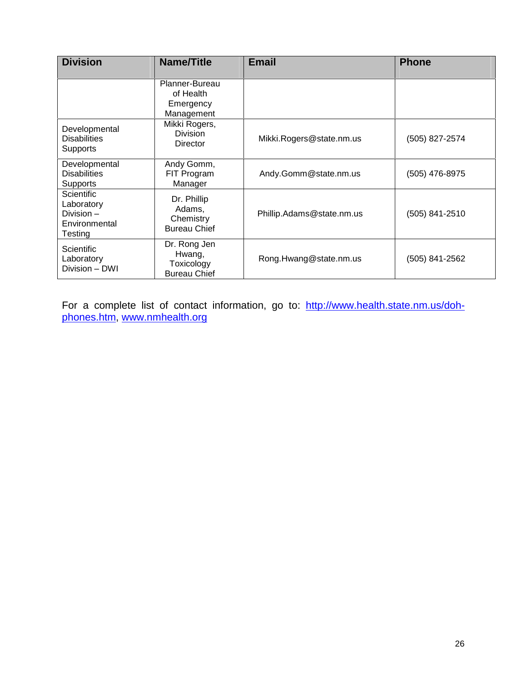| <b>Division</b>                                                          | Name/Title                                                  | <b>Email</b>              | <b>Phone</b>   |
|--------------------------------------------------------------------------|-------------------------------------------------------------|---------------------------|----------------|
|                                                                          | Planner-Bureau<br>of Health<br>Emergency<br>Management      |                           |                |
| Developmental<br><b>Disabilities</b><br><b>Supports</b>                  | Mikki Rogers,<br><b>Division</b><br>Director                | Mikki.Rogers@state.nm.us  | (505) 827-2574 |
| Developmental<br><b>Disabilities</b><br><b>Supports</b>                  | Andy Gomm,<br>FIT Program<br>Manager                        | Andy.Gomm@state.nm.us     | (505) 476-8975 |
| <b>Scientific</b><br>Laboratory<br>Division-<br>Environmental<br>Testing | Dr. Phillip<br>Adams,<br>Chemistry<br><b>Bureau Chief</b>   | Phillip.Adams@state.nm.us | (505) 841-2510 |
| <b>Scientific</b><br>Laboratory<br>Division - DWI                        | Dr. Rong Jen<br>Hwang,<br>Toxicology<br><b>Bureau Chief</b> | Rong.Hwang@state.nm.us    | (505) 841-2562 |

For a complete list of contact information, go to: [http://www.health.state.nm.us/doh](http://www.health.state.nm.us/doh-) phones.htm, [www.nmhealth.org](http://www.nmhealth.org)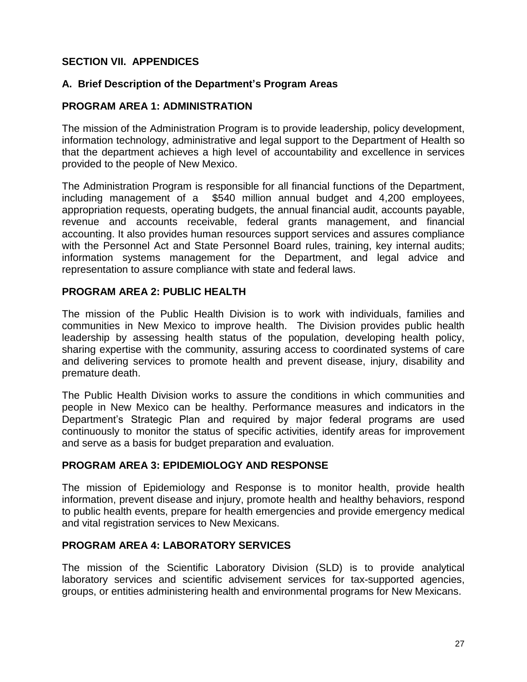# **SECTION VII. APPENDICES**

## **A. Brief Description of the Departmentí<sup>s</sup> Program Areas**

## **PROGRAM AREA 1: ADMINISTRATION**

The mission of the Administration Program is to provide leadership, policy development, information technology, administrative and legal support to the Department of Health so that the department achieves a high level of accountability and excellence in services provided to the people of New Mexico.

The Administration Program is responsible for all financial functions of the Department, including management of a \$540 million annual budget and 4,200 employees, appropriation requests, operating budgets, the annual financial audit, accounts payable, revenue and accounts receivable, federal grants management, and financial accounting. It also provides human resources support services and assures compliance with the Personnel Act and State Personnel Board rules, training, key internal audits; information systems management for the Department, and legal advice and representation to assure compliance with state and federal laws.

## **PROGRAM AREA 2: PUBLIC HEALTH**

The mission of the Public Health Division is to work with individuals, families and communities in New Mexico to improve health. The Division provides public health leadership by assessing health status of the population, developing health policy, sharing expertise with the community, assuring access to coordinated systems of care and delivering services to promote health and prevent disease, injury, disability and premature death.

The Public Health Division works to assure the conditions in which communities and Departmentís Strategic Plan and required by major federal programs are used people in New Mexico can be healthy. Performance measures and indicators in the continuously to monitor the status of specific activities, identify areas for improvement and serve as a basis for budget preparation and evaluation.

## **PROGRAM AREA 3: EPIDEMIOLOGY AND RESPONSE**

The mission of Epidemiology and Response is to monitor health, provide health information, prevent disease and injury, promote health and healthy behaviors, respond to public health events, prepare for health emergencies and provide emergency medical and vital registration services to New Mexicans.

## **PROGRAM AREA 4: LABORATORY SERVICES**

The mission of the Scientific Laboratory Division (SLD) is to provide analytical laboratory services and scientific advisement services for tax-supported agencies, groups, or entities administering health and environmental programs for New Mexicans.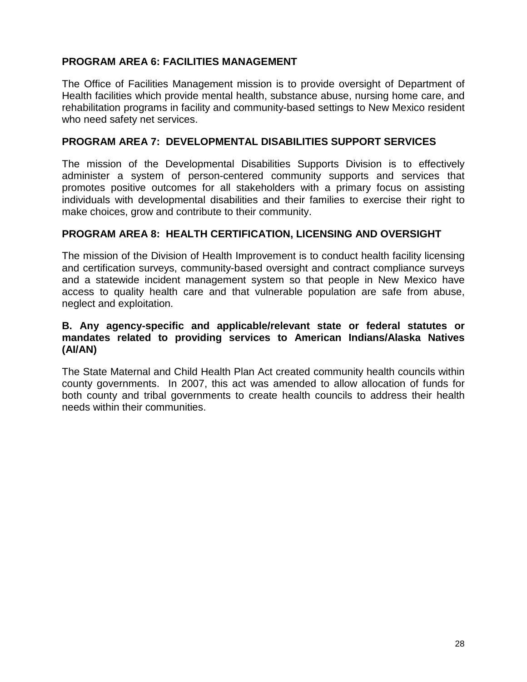# **PROGRAM AREA 6: FACILITIES MANAGEMENT**

The Office of Facilities Management mission is to provide oversight of Department of Health facilities which provide mental health, substance abuse, nursing home care, and rehabilitation programs in facility and community-based settings to New Mexico resident who need safety net services.

## **PROGRAM AREA 7: DEVELOPMENTAL DISABILITIES SUPPORT SERVICES**

The mission of the Developmental Disabilities Supports Division is to effectively administer a system of person-centered community supports and services that promotes positive outcomes for all stakeholders with a primary focus on assisting individuals with developmental disabilities and their families to exercise their right to make choices, grow and contribute to their community.

## **PROGRAM AREA 8: HEALTH CERTIFICATION, LICENSING AND OVERSIGHT**

The mission of the Division of Health Improvement is to conduct health facility licensing and certification surveys, community-based oversight and contract compliance surveys and a statewide incident management system so that people in New Mexico have access to quality health care and that vulnerable population are safe from abuse, neglect and exploitation.

## **B. Any agency-specific and applicable/relevant state or federal statutes or mandates related to providing services to American Indians/Alaska Natives (AI/AN)**

The State Maternal and Child Health Plan Act created community health councils within county governments. In 2007, this act was amended to allow allocation of funds for both county and tribal governments to create health councils to address their health needs within their communities.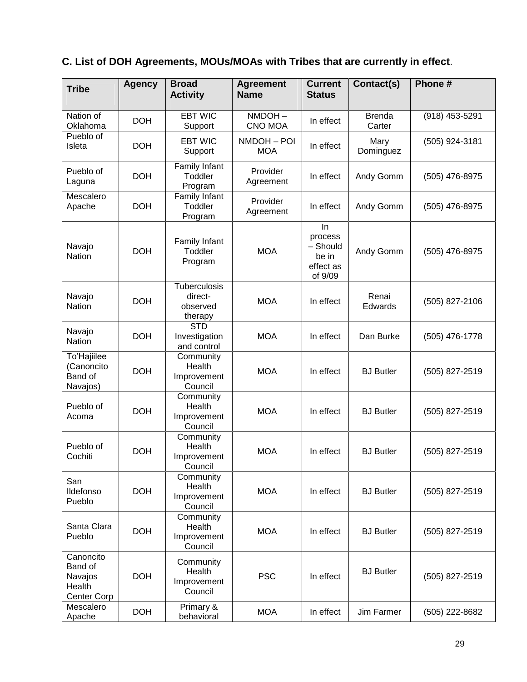# **C. List of DOH Agreements, MOUs/MOAs with Tribes that are currently in effect**.

| <b>Tribe</b>                                             | <b>Agency</b> | <b>Broad</b><br><b>Activity</b>                       | <b>Agreement</b><br><b>Name</b> | <b>Current</b><br><b>Status</b>                            | Contact(s)              | Phone #        |
|----------------------------------------------------------|---------------|-------------------------------------------------------|---------------------------------|------------------------------------------------------------|-------------------------|----------------|
| Nation of<br>Oklahoma                                    | <b>DOH</b>    | <b>EBT WIC</b><br>Support                             | NMDOH-<br>CNO MOA               | In effect                                                  | <b>Brenda</b><br>Carter | (918) 453-5291 |
| Pueblo of<br>Isleta                                      | <b>DOH</b>    | <b>EBT WIC</b><br>Support                             | NMDOH-POI<br><b>MOA</b>         | In effect                                                  | Mary<br>Dominguez       | (505) 924-3181 |
| Pueblo of<br>Laguna                                      | <b>DOH</b>    | Family Infant<br>Toddler<br>Program                   | Provider<br>Agreement           | In effect                                                  | Andy Gomm               | (505) 476-8975 |
| Mescalero<br>Apache                                      | <b>DOH</b>    | Family Infant<br>Toddler<br>Program                   | Provider<br>Agreement           | In effect                                                  | Andy Gomm               | (505) 476-8975 |
| Navajo<br>Nation                                         | <b>DOH</b>    | Family Infant<br>Toddler<br>Program                   | <b>MOA</b>                      | In<br>process<br>- Should<br>be in<br>effect as<br>of 9/09 | Andy Gomm               | (505) 476-8975 |
| Navajo<br><b>Nation</b>                                  | <b>DOH</b>    | <b>Tuberculosis</b><br>direct-<br>observed<br>therapy | <b>MOA</b>                      | In effect                                                  | Renai<br>Edwards        | (505) 827-2106 |
| Navajo<br><b>Nation</b>                                  | <b>DOH</b>    | <b>STD</b><br>Investigation<br>and control            | <b>MOA</b>                      | In effect                                                  | Dan Burke               | (505) 476-1778 |
| To'Hajiilee<br>(Canoncito<br>Band of<br>Navajos)         | <b>DOH</b>    | Community<br>Health<br>Improvement<br>Council         | <b>MOA</b>                      | In effect                                                  | <b>BJ</b> Butler        | (505) 827-2519 |
| Pueblo of<br>Acoma                                       | <b>DOH</b>    | Community<br>Health<br>Improvement<br>Council         | <b>MOA</b>                      | In effect                                                  | <b>BJ</b> Butler        | (505) 827-2519 |
| Pueblo of<br>Cochiti                                     | <b>DOH</b>    | Community<br>Health<br>Improvement<br>Council         | <b>MOA</b>                      | In effect                                                  | <b>BJ</b> Butler        | (505) 827-2519 |
| San<br>Ildefonso<br>Pueblo                               | <b>DOH</b>    | Community<br>Health<br>Improvement<br>Council         | <b>MOA</b>                      | In effect                                                  | <b>BJ</b> Butler        | (505) 827-2519 |
| Santa Clara<br>Pueblo                                    | <b>DOH</b>    | Community<br>Health<br>Improvement<br>Council         | <b>MOA</b>                      | In effect                                                  | <b>BJ</b> Butler        | (505) 827-2519 |
| Canoncito<br>Band of<br>Navajos<br>Health<br>Center Corp | <b>DOH</b>    | Community<br>Health<br>Improvement<br>Council         | <b>PSC</b>                      | In effect                                                  | <b>BJ</b> Butler        | (505) 827-2519 |
| Mescalero<br>Apache                                      | <b>DOH</b>    | Primary &<br>behavioral                               | <b>MOA</b>                      | In effect                                                  | Jim Farmer              | (505) 222-8682 |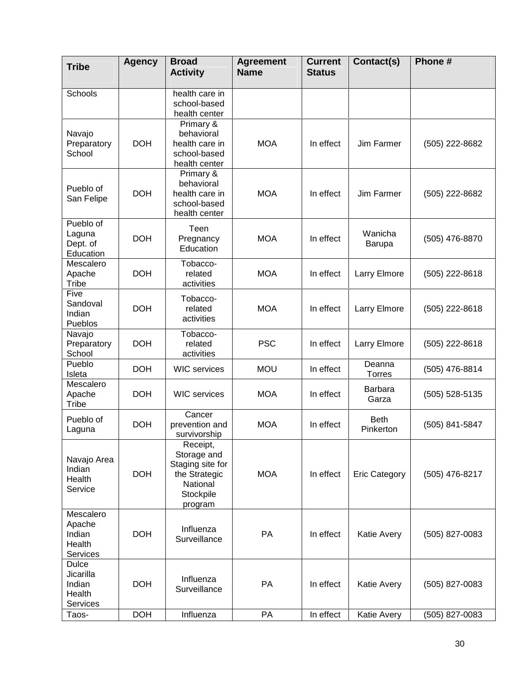| <b>Tribe</b>                                                        | <b>Agency</b> | <b>Broad</b><br><b>Activity</b>                                                                  | <b>Agreement</b><br><b>Name</b> | <b>Current</b><br><b>Status</b> | Contact(s)               | Phone#           |
|---------------------------------------------------------------------|---------------|--------------------------------------------------------------------------------------------------|---------------------------------|---------------------------------|--------------------------|------------------|
| Schools                                                             |               | health care in<br>school-based<br>health center                                                  |                                 |                                 |                          |                  |
| Navajo<br>Preparatory<br>School                                     | <b>DOH</b>    | Primary &<br>behavioral<br>health care in<br>school-based<br>health center                       | <b>MOA</b>                      | In effect                       | Jim Farmer               | (505) 222-8682   |
| Pueblo of<br>San Felipe                                             | <b>DOH</b>    | Primary &<br>behavioral<br>health care in<br>school-based<br>health center                       | <b>MOA</b>                      | In effect                       | Jim Farmer               | (505) 222-8682   |
| Pueblo of<br>Laguna<br>Dept. of<br>Education                        | <b>DOH</b>    | Teen<br>Pregnancy<br>Education                                                                   | <b>MOA</b>                      | In effect                       | Wanicha<br>Barupa        | (505) 476-8870   |
| Mescalero<br>Apache<br>Tribe                                        | <b>DOH</b>    | Tobacco-<br>related<br>activities                                                                | <b>MOA</b>                      | In effect                       | Larry Elmore             | (505) 222-8618   |
| Five<br>Sandoval<br>Indian<br>Pueblos                               | <b>DOH</b>    | Tobacco-<br>related<br>activities                                                                | <b>MOA</b>                      | In effect                       | Larry Elmore             | (505) 222-8618   |
| Navajo<br>Preparatory<br>School                                     | <b>DOH</b>    | Tobacco-<br>related<br>activities                                                                | <b>PSC</b>                      | In effect                       | Larry Elmore             | (505) 222-8618   |
| Pueblo<br>Isleta                                                    | <b>DOH</b>    | <b>WIC</b> services                                                                              | <b>MOU</b>                      | In effect                       | Deanna<br>Torres         | (505) 476-8814   |
| Mescalero<br>Apache<br>Tribe                                        | <b>DOH</b>    | <b>WIC</b> services                                                                              | <b>MOA</b>                      | In effect                       | <b>Barbara</b><br>Garza  | (505) 528-5135   |
| Pueblo of<br>Laguna                                                 | <b>DOH</b>    | Cancer<br>prevention and<br>survivorship                                                         | <b>MOA</b>                      | In effect                       | <b>Beth</b><br>Pinkerton | (505) 841-5847   |
| Navajo Area<br>Indian<br>Health<br>Service                          | <b>DOH</b>    | Receipt,<br>Storage and<br>Staging site for<br>the Strategic<br>National<br>Stockpile<br>program | <b>MOA</b>                      | In effect                       | <b>Eric Category</b>     | (505) 476-8217   |
| Mescalero<br>Apache<br>Indian<br>Health<br>Services<br><b>Dulce</b> | <b>DOH</b>    | Influenza<br>Surveillance                                                                        | PA                              | In effect                       | Katie Avery              | (505) 827-0083   |
| Jicarilla<br>Indian<br>Health<br><b>Services</b>                    | <b>DOH</b>    | Influenza<br>Surveillance                                                                        | PA                              | In effect                       | Katie Avery              | $(505)$ 827-0083 |
| Taos-                                                               | <b>DOH</b>    | Influenza                                                                                        | PA                              | In effect                       | Katie Avery              | (505) 827-0083   |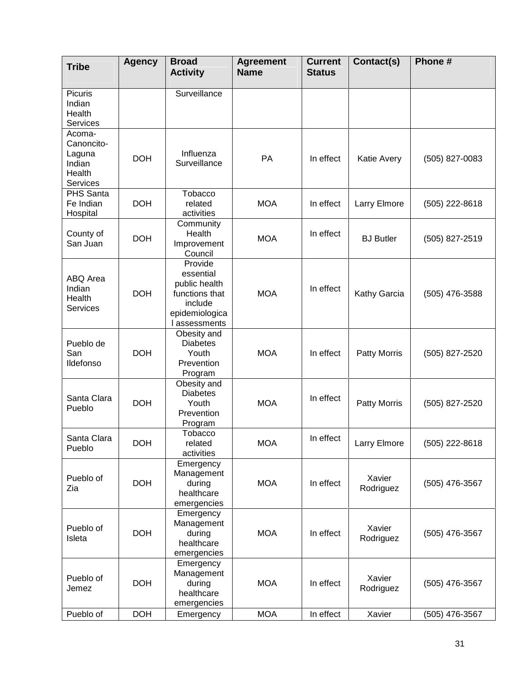| <b>Tribe</b>                                                   | <b>Agency</b> | <b>Broad</b><br><b>Activity</b>                                                                       | <b>Agreement</b><br><b>Name</b> | <b>Current</b><br><b>Status</b> | Contact(s)          | Phone #        |
|----------------------------------------------------------------|---------------|-------------------------------------------------------------------------------------------------------|---------------------------------|---------------------------------|---------------------|----------------|
| Picuris<br>Indian<br>Health<br>Services                        |               | Surveillance                                                                                          |                                 |                                 |                     |                |
| Acoma-<br>Canoncito-<br>Laguna<br>Indian<br>Health<br>Services | <b>DOH</b>    | Influenza<br>Surveillance                                                                             | PA                              | In effect                       | <b>Katie Avery</b>  | (505) 827-0083 |
| PHS Santa<br>Fe Indian<br>Hospital                             | <b>DOH</b>    | Tobacco<br>related<br>activities                                                                      | <b>MOA</b>                      | In effect                       | Larry Elmore        | (505) 222-8618 |
| County of<br>San Juan                                          | <b>DOH</b>    | Community<br>Health<br>Improvement<br>Council                                                         | <b>MOA</b>                      | In effect                       | <b>BJ</b> Butler    | (505) 827-2519 |
| ABQ Area<br>Indian<br>Health<br>Services                       | <b>DOH</b>    | Provide<br>essential<br>public health<br>functions that<br>include<br>epidemiologica<br>I assessments | <b>MOA</b>                      | In effect                       | Kathy Garcia        | (505) 476-3588 |
| Pueblo de<br>San<br>Ildefonso                                  | <b>DOH</b>    | Obesity and<br><b>Diabetes</b><br>Youth<br>Prevention<br>Program                                      | <b>MOA</b>                      | In effect                       | Patty Morris        | (505) 827-2520 |
| Santa Clara<br>Pueblo                                          | <b>DOH</b>    | Obesity and<br><b>Diabetes</b><br>Youth<br>Prevention<br>Program                                      | <b>MOA</b>                      | In effect                       | Patty Morris        | (505) 827-2520 |
| Santa Clara<br>Pueblo                                          | <b>DOH</b>    | Tobacco<br>related<br>activities                                                                      | <b>MOA</b>                      | In effect                       | Larry Elmore        | (505) 222-8618 |
| Pueblo of<br>Zia                                               | <b>DOH</b>    | Emergency<br>Management<br>during<br>healthcare<br>emergencies                                        | <b>MOA</b>                      | In effect                       | Xavier<br>Rodriguez | (505) 476-3567 |
| Pueblo of<br>Isleta                                            | <b>DOH</b>    | Emergency<br>Management<br>during<br>healthcare<br>emergencies                                        | <b>MOA</b>                      | In effect                       | Xavier<br>Rodriguez | (505) 476-3567 |
| Pueblo of<br>Jemez                                             | <b>DOH</b>    | Emergency<br>Management<br>during<br>healthcare<br>emergencies                                        | <b>MOA</b>                      | In effect                       | Xavier<br>Rodriguez | (505) 476-3567 |
| Pueblo of                                                      | <b>DOH</b>    | Emergency                                                                                             | <b>MOA</b>                      | In effect                       | Xavier              | (505) 476-3567 |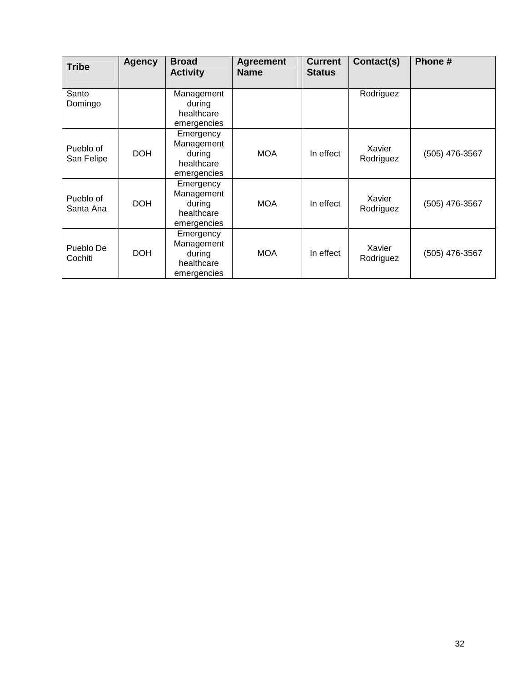| <b>Tribe</b>            | <b>Agency</b> | <b>Broad</b><br><b>Activity</b>                                | <b>Agreement</b><br><b>Name</b> | <b>Current</b><br><b>Status</b> | Contact(s)          | Phone#         |
|-------------------------|---------------|----------------------------------------------------------------|---------------------------------|---------------------------------|---------------------|----------------|
| Santo<br>Domingo        |               | Management<br>during<br>healthcare<br>emergencies              |                                 |                                 | Rodriguez           |                |
| Pueblo of<br>San Felipe | <b>DOH</b>    | Emergency<br>Management<br>during<br>healthcare<br>emergencies | <b>MOA</b>                      | In effect                       | Xavier<br>Rodriguez | (505) 476-3567 |
| Pueblo of<br>Santa Ana  | <b>DOH</b>    | Emergency<br>Management<br>during<br>healthcare<br>emergencies | <b>MOA</b>                      | In effect                       | Xavier<br>Rodriguez | (505) 476-3567 |
| Pueblo De<br>Cochiti    | <b>DOH</b>    | Emergency<br>Management<br>during<br>healthcare<br>emergencies | <b>MOA</b>                      | In effect                       | Xavier<br>Rodriguez | (505) 476-3567 |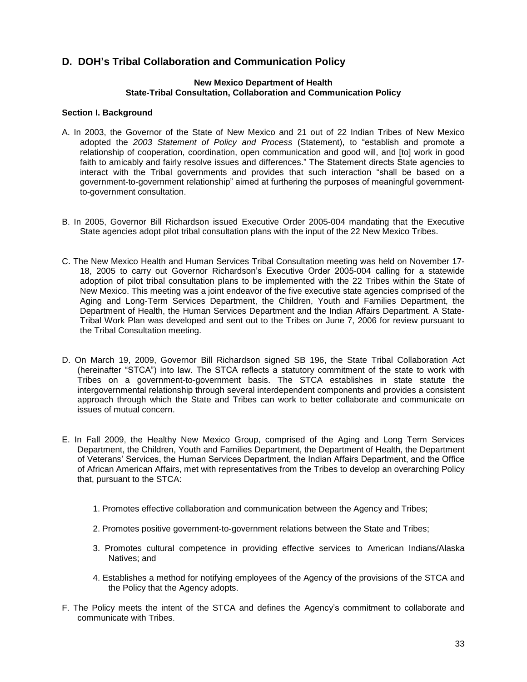## **D. DOHí<sup>s</sup> Tribal Collaboration and Communication Policy**

#### **New Mexico Department of Health State-Tribal Consultation, Collaboration and Communication Policy**

#### **Section I. Background**

- A. In 2003, the Governor of the State of New Mexico and 21 out of 22 Indian Tribes of New Mexico adopted the 2003, the Governor of the State of New Mexico and 21 out of 22 Indian Tribes of New Mexico<br>adopted the 2003 Statement of Policy and Process (Statement), to "establish and promote a relationship of cooperation, coordination, open communication and good will, and [to] work in good adopted the 2003 Statement of Policy and Process (Statement), to "establish and promote a relationship of cooperation, coordination, open communication and good will, and [to] work in good faith to amicably and fairly reso relationship of cooperation, coordination, open communication and good will, and [to] work in good<br>faith to amicably and fairly resolve issues and differences." The Statement directs State agencies to<br>interact with the Tri Faith to amicably and fairly resolve issues and differences." The Statement directs State agencies to interact with the Tribal governments and provides that such interaction "shall be based on a government-to-government re to-government consultation.
- B. In 2005, Governor Bill Richardson issued Executive Order 2005-004 mandating that the Executive State agencies adopt pilot tribal consultation plans with the input of the 22 New Mexico Tribes.
- C. The New Mexico Health and Human Services Tribal Consultation meeting was held on November 17 ne New Mexico Health and Human Services Tribal Consultation meeting was held on November 17-<br>18, 2005 to carry out Governor Richardson's Executive Order 2005-004 calling for a statewide adoption of pilot tribal consultation plans to be implemented with the 22 Tribes within the State of New Mexico. This meeting was a joint endeavor of the five executive state agencies comprised of the Aging and Long-Term Services Department, the Children, Youth and Families Department, the Department of Health, the Human Services Department and the Indian Affairs Department. A State- Tribal Work Plan was developed and sent out to the Tribes on June 7, 2006 for review pursuant to the Tribal Consultation meeting.
- D. On March 19, 2009, Governor Bill Richardson signed SB 196, the State Tribal Collaboration Act ) Dn March 19, 2009, Governor Bill Richardson signed SB 196, the State Tribal Collaboration Act<br>(hereinafter "STCA") into law. The STCA reflects a statutory commitment of the state to work with Tribes on a government-to-government basis. The STCA establishes in state statute the intergovernmental relationship through several interdependent components and provides a consistent approach through which the State and Tribes can work to better collaborate and communicate on issues of mutual concern.
- E. In Fall 2009, the Healthy New Mexico Group, comprised of the Aging and Long Term Services Department, the Children, Youth and Families Department, the Department of Health, the Department n Fall 2009, the Healthy New Mexico Group, comprised of the Aging and Long Term Services<br>Department, the Children, Youth and Families Department, the Department of Health, the Department<br>of Veterans' Services, the Human Se of African American Affairs, met with representatives from the Tribes to develop an overarching Policy that, pursuant to the STCA:
	- 1. Promotes effective collaboration and communication between the Agency and Tribes;
	- 2. Promotes positive government-to-government relations between the State and Tribes;
	- 3. Promotes cultural competence in providing effective services to American Indians/Alaska Natives; and
	- 4. Establishes a method for notifying employees of the Agency of the provisions of the STCA and the Policy that the Agency adopts.
- F. The Policy meets the intent of the STCA and defines the Agencyís commitment to collaborate and communicate with Tribes.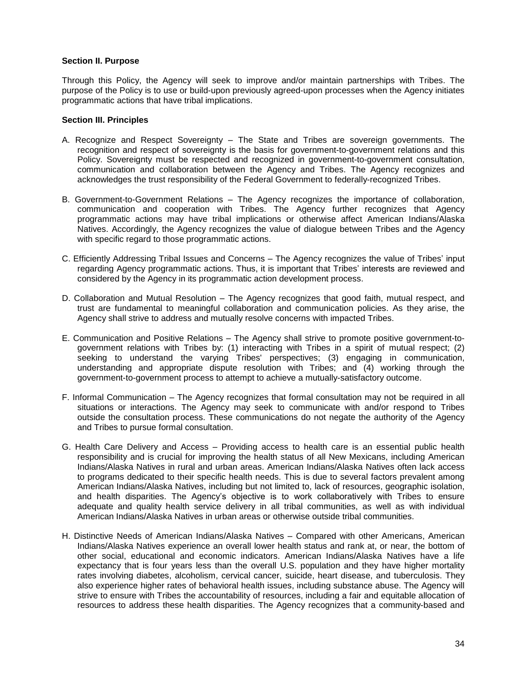#### **Section II. Purpose**

Through this Policy, the Agency will seek to improve and/or maintain partnerships with Tribes. The purpose of the Policy is to use or build-upon previously agreed-upon processes when the Agency initiates programmatic actions that have tribal implications.

#### **Section III. Principles**

- A. Recognize and Respect Sovereignty The State and Tribes are sovereign governments. The recognition and respect of sovereignty is the basis for government-to-government relations and this Policy. Sovereignty must be respected and recognized in government-to-government consultation, communication and collaboration between the Agency and Tribes. The Agency recognizes and acknowledges the trust responsibility of the Federal Government to federally-recognized Tribes.
- B. Government-to-Government Relations The Agency recognizes the importance of collaboration, communication and cooperation with Tribes. The Agency further recognizes that Agency programmatic actions may have tribal implications or otherwise affect American Indians/Alaska Natives. Accordingly, the Agency recognizes the value of dialogue between Tribes and the Agency with specific regard to those programmatic actions. with specific regard to those programmatic actions.<br>C. Efficiently Addressing Tribal Issues and Concerns – The Agency recognizes the value of Tribes' input
- regarding Agency are to these programmatic actions.<br>Ifficiently Addressing Tribal Issues and Concerns The Agency recognizes the value of Tribes' input:<br>regarding Agency programmatic actions. Thus, it is important that Tr considered by the Agency in its programmatic action development process. regarding Agency programmatic actions. Thus, it is important that Tribes' interests are reviewed and<br>considered by the Agency in its programmatic action development process.<br>D. Collaboration and Mutual Resolution – The Age
- trust are fundamental to meaningful collaboration and communication policies. As they arise, the Agency shall strive to address and mutually resolve concerns with impacted Tribes.
- E. Communication and Positive Relations The Agency shall strive to promote positive government-togovernment relations with Tribes by: (1) interacting with Tribes in a spirit of mutual respect; (2) seeking to understand the varying Tribes' perspectives; (3) engaging in communication, understanding and appropriate dispute resolution with Tribes; and (4) working through the government-to-government process to attempt to achieve a mutually-satisfactory outcome.
- F. Informal Communication The Agency recognizes that formal consultation may not be required in all situations or interactions. The Agency may seek to communicate with and/or respond to Tribes outside the consultation process. These communications do not negate the authority of the Agency and Tribes to pursue formal consultation.
- G. Health Care Delivery and Access Providing access to health care is an essential public health responsibility and is crucial for improving the health status of all New Mexicans, including American Indians/Alaska Natives in rural and urban areas. American Indians/Alaska Natives often lack access to programs dedicated to their specific health needs. This is due to several factors prevalent among American Indians/Alaska Natives, including but not limited to, lack of resources, geographic isolation, and health disparities. The Agencyís objective is to work collaboratively with Tribes to ensure adequate and quality health service delivery in all tribal communities, as well as with individual American Indians/Alaska Natives in urban areas or otherwise outside tribal communities.
- H. Distinctive Needs of American Indians/Alaska Natives Compared with other Americans, American Indians/Alaska Natives experience an overall lower health status and rank at, or near, the bottom of other social, educational and economic indicators. American Indians/Alaska Natives have a life expectancy that is four years less than the overall U.S. population and they have higher mortality rates involving diabetes, alcoholism, cervical cancer, suicide, heart disease, and tuberculosis. They also experience higher rates of behavioral health issues, including substance abuse. The Agency will strive to ensure with Tribes the accountability of resources, including a fair and equitable allocation of resources to address these health disparities. The Agency recognizes that a community-based and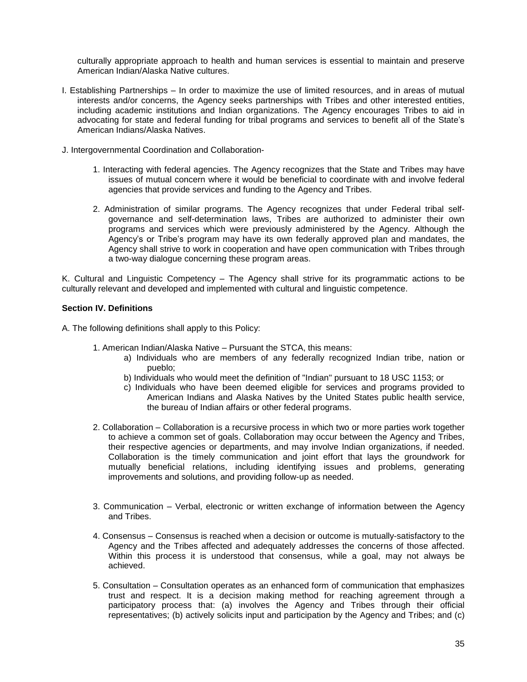culturally appropriate approach to health and human services is essential to maintain and preserve American Indian/Alaska Native cultures.

- I. Establishing Partnerships In order to maximize the use of limited resources, and in areas of mutual interests and/or concerns, the Agency seeks partnerships with Tribes and other interested entities, including academic institutions and Indian organizations. The Agency encourages Tribes to aid in interests and/or concerns, the Agency seeks partnerships with Tribes and other interested entities,<br>including academic institutions and Indian organizations. The Agency encourages Tribes to aid in<br>advocating for state and American Indians/Alaska Natives.
- J. Intergovernmental Coordination and Collaboration-
	- 1. Interacting with federal agencies. The Agency recognizes that the State and Tribes may have issues of mutual concern where it would be beneficial to coordinate with and involve federal agencies that provide services and funding to the Agency and Tribes.
	- 2. Administration of similar programs. The Agency recognizes that under Federal tribal self governance and self-determination laws, Tribes are authorized to administer their own<br>programs and services which were previously administered by the Agency. Although the<br>Agency's or Tribe's program may have its own federa programs and services which were previously administered by the Agency. Although the Agency shall strive to work in cooperation and have open communication with Tribes through a two-way dialogue concerning these program areas.

K. Cultural and Linguistic Competency  $-$  The Agency shall strive for its programmatic actions to be culturally relevant and developed and implemented with cultural and linguistic competence.

#### **Section IV. Definitions**

A. The following definitions shall apply to this Policy:

- 1. American Indian/Alaska Native Pursuant the STCA, this means:
	- a) Individuals who are members of any federally recognized Indian tribe, nation or pueblo;
	- b) Individuals who would meet the definition of "Indian" pursuant to 18 USC 1153; or
	- c) Individuals who have been deemed eligible for services and programs provided to American Indians and Alaska Natives by the United States public health service, the bureau of Indian affairs or other federal programs.
- 2. Collaboration Collaboration is a recursive process in which two or more parties work together to achieve a common set of goals. Collaboration may occur between the Agency and Tribes, their respective agencies or departments, and may involve Indian organizations, if needed. Collaboration is the timely communication and joint effort that lays the groundwork for mutually beneficial relations, including identifying issues and problems, generating improvements and solutions, and providing follow-up as needed.
- 3. Communication Verbal, electronic or written exchange of information between the Agency and Tribes.
- 4. Consensus Consensus is reached when a decision or outcome is mutually-satisfactory to the Agency and the Tribes affected and adequately addresses the concerns of those affected. Within this process it is understood that consensus, while a goal, may not always be achieved.
- 5. Consultation Consultation operates as an enhanced form of communication that emphasizes trust and respect. It is a decision making method for reaching agreement through a participatory process that: (a) involves the Agency and Tribes through their official representatives; (b) actively solicits input and participation by the Agency and Tribes; and (c)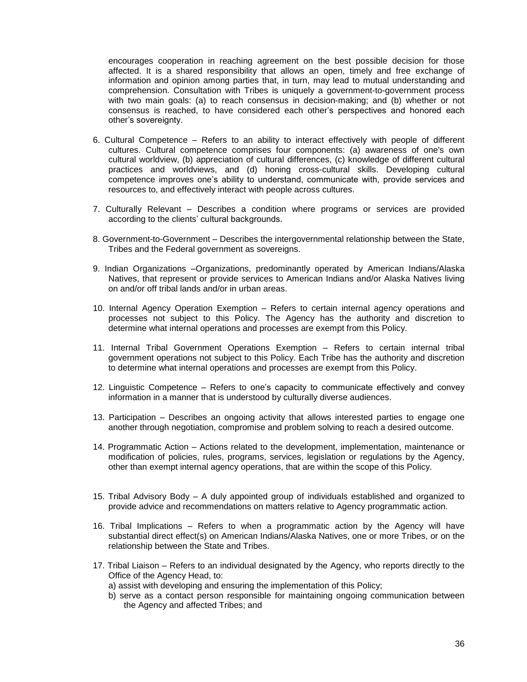encourages cooperation in reaching agreement on the best possible decision for those affected. It is a shared responsibility that allows an open, timely and free exchange of information and opinion among parties that, in turn, may lead to mutual understanding and comprehension. Consultation with Tribes is uniquely a government-to-government process<br>with two main goals: (a) to reach consensus in decision-making; and (b) whether or not<br>consensus is reached, to have considered each ot with two main goals: (a) to reach consensus in decision-making; and (b) whether or not consensus is reached, to have considered each other's perspectives and honored each other's sovereignty. 6. Cultural Competence – Refers to an ability to interact effectively with people of different<br>6. Cultural Competence – Refers to an ability to interact effectively with people of different

- cultures. Cultural competence comprises four components: (a) awareness of one's own cultural worldview, (b) appreciation of cultural differences, (c) knowledge of different cultural practices and worldviews, and (d) honing cross-cultural skills. Developing cultural cultural worldview, (b) appreciation of cultural differences, (c) knowledge of different cultural<br>practices and worldviews, and (d) honing cross-cultural skills. Developing cultural<br>competence improves one's ability to und resources to, and effectively interact with people across cultures. resources to, and effectively interact with people across cultures.<br>7. Culturally Relevant – Describes a condition where programs or services are provided
- For the clients in the clients of the clients of the condition<br>according to the clients' cultural backgrounds. according to the clients' cultural backgrounds.<br>8. Government-to-Government – Describes the intergovernmental relationship between the State,
- Tribes and the Federal government as sovereigns.
- 9. Indian Organizations -Organizations, predominantly operated by American Indians/Alaska Natives, that represent or provide services to American Indians and/or Alaska Natives living on and/or off tribal lands and/or in urban areas.
- 10. Internal Agency Operation Exemption Refers to certain internal agency operations and processes not subject to this Policy. The Agency has the authority and discretion to determine what internal operations and processes are exempt from this Policy.
- 11. Internal Tribal Government Operations Exemption Refers to certain internal tribal government operations not subject to this Policy. Each Tribe has the authority and discretion to determine what internal operations and processes are exempt from this Policy.
- 12. Linguistic Competence Refers to one's capacity to communicate effectively and convey information in a manner that is understood by culturally diverse audiences.
- 13. Participation Describes an ongoing activity that allows interested parties to engage one another through negotiation, compromise and problem solving to reach a desired outcome.
- 14. Programmatic Action Actions related to the development, implementation, maintenance or modification of policies, rules, programs, services, legislation or regulations by the Agency, other than exempt internal agency operations, that are within the scope of this Policy.
- 15. Tribal Advisory Body A duly appointed group of individuals established and organized to provide advice and recommendations on matters relative to Agency programmatic action.
- 16. Tribal Implications Refers to when a programmatic action by the Agency will have substantial direct effect(s) on American Indians/Alaska Natives, one or more Tribes, or on the relationship between the State and Tribes.
- 17. Tribal Liaison Refers to an individual designated by the Agency, who reports directly to the Office of the Agency Head, to:
	- a) assist with developing and ensuring the implementation of this Policy;
	- b) serve as a contact person responsible for maintaining ongoing communication between the Agency and affected Tribes; and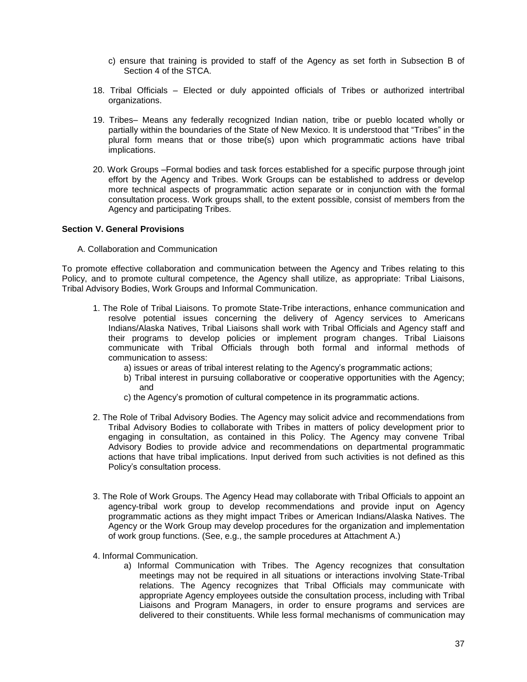- c) ensure that training is provided to staff of the Agency as set forth in Subsection B of Section 4 of the STCA.
- 18. Tribal Officials Elected or duly appointed officials of Tribes or authorized intertribal organizations.
- 19. Tribes– Means any federally recognized Indian nation, tribe or pueblo located wholly or partially within the boundaries of the State of New Mexico. It is understood that "Tribes" in the plural form means that or those tribe(s) upon which programmatic actions have tribal implications.
- 20. Work Groups Formal bodies and task forces established for a specific purpose through joint effort by the Agency and Tribes. Work Groups can be established to address or develop more technical aspects of programmatic action separate or in conjunction with the formal consultation process. Work groups shall, to the extent possible, consist of members from the Agency and participating Tribes.

#### **Section V. General Provisions**

A. Collaboration and Communication

To promote effective collaboration and communication between the Agency and Tribes relating to this Policy, and to promote cultural competence, the Agency shall utilize, as appropriate: Tribal Liaisons, Tribal Advisory Bodies, Work Groups and Informal Communication.

- 1. The Role of Tribal Liaisons. To promote State-Tribe interactions, enhance communication and resolve potential issues concerning the delivery of Agency services to Americans Indians/Alaska Natives, Tribal Liaisons shall work with Tribal Officials and Agency staff and their programs to develop policies or implement program changes. Tribal Liaisons communicate with Tribal Officials through both formal and informal methods of a) issues orareas of tribal interest relating to the Agencyís programmatic actions; communication to assess:
	-
	- b) Tribal interest in pursuing collaborative or cooperative opportunities with the Agency; c) the Agencyís promotion of cultural competence in its programmatic actions. and
	-
- 2. The Role of Tribal Advisory Bodies. The Agency may solicit advice and recommendations from Tribal Advisory Bodies to collaborate with Tribes in matters of policy development prior to engaging in consultation, as contained in this Policy. The Agency may convene Tribal Advisory Bodies to provide advice and recommendations on departmental programmatic actions that have tribal implications. Input derived from such activities is not defined as this Policy's consultation process. actions that have tribal implications. Input derived from such activities is not defined as this
- 3. The Role of Work Groups. The Agency Head may collaborate with Tribal Officials to appoint an agency-tribal work group to develop recommendations and provide input on Agency programmatic actions as they might impact Tribes or American Indians/Alaska Natives. The Agency or the Work Group may develop procedures for the organization and implementation of work group functions. (See, e.g., the sample procedures at Attachment A.)
- 4. Informal Communication.
	- a) Informal Communication with Tribes. The Agency recognizes that consultation meetings may not be required in all situations or interactions involving State-Tribal relations. The Agency recognizes that Tribal Officials may communicate with appropriate Agency employees outside the consultation process, including with Tribal Liaisons and Program Managers, in order to ensure programs and services are delivered to their constituents. While less formal mechanisms of communication may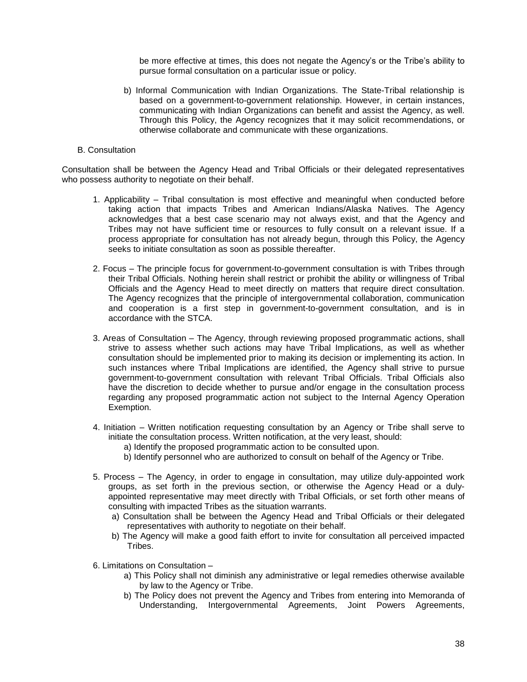be more effective at times, this does not negate the Agency's or the Tribe's ability to pursue formal consultation on a particular issue or policy.

b) Informal Communication with Indian Organizations. The State-Tribal relationship is based on a government-to-government relationship. However, in certain instances, communicating with Indian Organizations can benefit and assist the Agency, as well. Through this Policy, the Agency recognizes that it may solicit recommendations, or otherwise collaborate and communicate with these organizations.

#### B. Consultation

Consultation shall be between the Agency Head and Tribal Officials or their delegated representatives who possess authority to negotiate on their behalf.

- 1. Applicability Tribal consultation is most effective and meaningful when conducted before taking action that impacts Tribes and American Indians/Alaska Natives. The Agency acknowledges that a best case scenario may not always exist, and that the Agency and Tribes may not have sufficient time or resources to fully consult on a relevant issue. If a process appropriate for consultation has not already begun, through this Policy, the Agency seeks to initiate consultation as soon as possible thereafter.
- 2. Focus The principle focus for government-to-government consultation is with Tribes through their Tribal Officials. Nothing herein shall restrict or prohibit the ability or willingness of Tribal Officials and the Agency Head to meet directly on matters that require direct consultation. The Agency recognizes that the principle of intergovernmental collaboration, communication and cooperation is a first step in government-to-government consultation, and is in accordance with the STCA.
- 3. Areas of Consultation The Agency, through reviewing proposed programmatic actions, shall strive to assess whether such actions may have Tribal Implications, as well as whether consultation should be implemented prior to making its decision or implementing its action. In such instances where Tribal Implications are identified, the Agency shall strive to pursue government-to-government consultation with relevant Tribal Officials. Tribal Officials also have the discretion to decide whether to pursue and/or engage in the consultation process regarding any proposed programmatic action not subject to the Internal Agency Operation Exemption.
- 4. Initiation Written notification requesting consultation by an Agency or Tribe shall serve to initiate the consultation process. Written notification, at the very least, should:
	- a) Identify the proposed programmatic action to be consulted upon.
	- b) Identify personnel who are authorized to consult on behalf of the Agency or Tribe.
- 5. Process The Agency, in order to engage in consultation, may utilize duly-appointed work groups, as set forth in the previous section, or otherwise the Agency Head or a duly appointed representative may meet directly with Tribal Officials, or set forth other means of consulting with impacted Tribes as the situation warrants.
	- a) Consultation shall be between the Agency Head and Tribal Officials or their delegated representatives with authority to negotiate on their behalf.
	- b) The Agency will make a good faith effort to invite for consultation all perceived impacted Tribes.
- 6. Limitations on Consultation  $$ 
	- a) This Policy shall not diminish any administrative or legal remedies otherwise available by law to the Agency or Tribe.
	- b) The Policy does not prevent the Agency and Tribes from entering into Memoranda of Understanding, Intergovernmental Agreements, Joint Powers Agreements,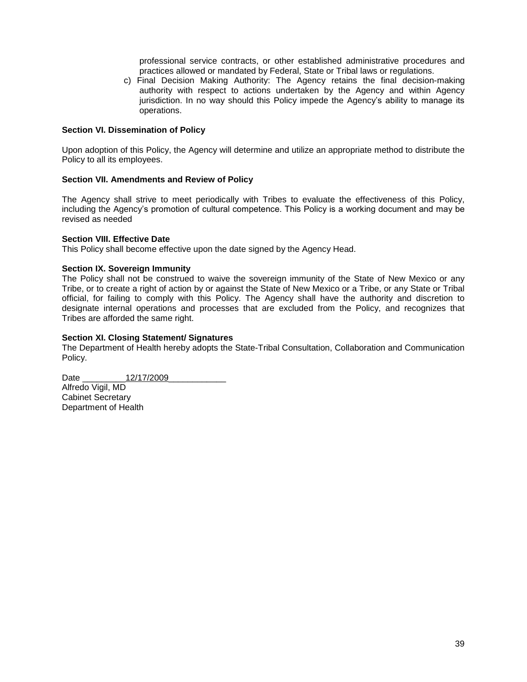professional service contracts, or other established administrative procedures and practices allowed or mandated by Federal, State or Tribal laws or regulations.

c) Final Decision Making Authority: The Agency retains the final decision-making jurisdiction. In no way should this Policy impede the Agencyís ability to manage its authority with respect to actions undertaken by the Agency and within Agency operations.

#### **Section VI. Dissemination of Policy**

Upon adoption of this Policy, the Agency will determine and utilize an appropriate method to distribute the Policy to all its employees.

#### **Section VII. Amendments and Review of Policy**

The Agency shall strive to meet periodically with Tribes to evaluate the effectiveness of this Policy, Including the American compete and the Competency<br>The Agency shall strive to meet periodically with Tribes to evaluate the effectiveness of this Policy,<br>including the Agency's promotion of cultural competence. This Policy revised as needed

#### **Section VIII. Effective Date**

This Policy shall become effective upon the date signed by the Agency Head.

#### **Section IX. Sovereign Immunity**

The Policy shall not be construed to waive the sovereign immunity of the State of New Mexico or any Tribe, or to create a right of action by or against the State of New Mexico or a Tribe, or any State or Tribal official, for failing to comply with this Policy. The Agency shall have the authority and discretion to designate internal operations and processes that are excluded from the Policy, and recognizes that Tribes are afforded the same right.

#### **Section XI. Closing Statement/ Signatures**

The Department of Health hereby adopts the State-Tribal Consultation, Collaboration and Communication Policy.

Date  $12/17/2009$ 

Alfredo Vigil, MD Cabinet Secretary Department of Health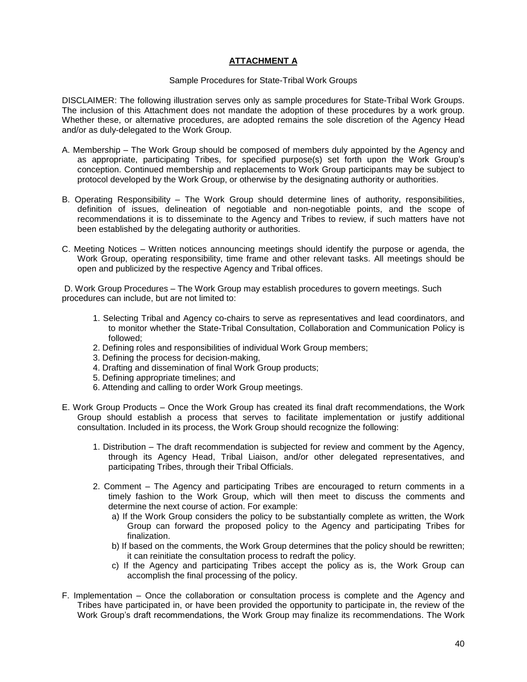#### **ATTACHMENT A**

#### Sample Procedures for State-Tribal Work Groups

DISCLAIMER: The following illustration serves only as sample procedures for State-Tribal Work Groups. The inclusion of this Attachment does not mandate the adoption of these procedures by a work group. Whether these, or alternative procedures, are adopted remains the sole discretion of the Agency Head and/or as duly-delegated to the Work Group.

- A. Membership The Work Group should be composed of members duly appointed by the Agency and as appropriate, participating Tribes, for specified purpose(s) set forth upon the Work Group's conception. Continued membership and replacements to Work Group participants may be subject to protocol developed by the Work Group, or otherwise by the designating authority or authorities.
- B. Operating Responsibility The Work Group should determine lines of authority, responsibilities, definition of issues, delineation of negotiable and non-negotiable points, and the scope of recommendations it is to disseminate to the Agency and Tribes to review, if such matters have not been established by the delegating authority or authorities.
- C. Meeting Notices Written notices announcing meetings should identify the purpose or agenda, the Work Group, operating responsibility, time frame and other relevant tasks. All meetings should be open and publicized by the respective Agency and Tribal offices.

D. Work Group Procedures – The Work Group may establish procedures to govern meetings. Such procedures can include, but are not limited to:

- 1. Selecting Tribal and Agency co-chairs to serve as representatives and lead coordinators, and to monitor whether the State-Tribal Consultation, Collaboration and Communication Policy is followed;
- 2. Defining roles and responsibilities of individual Work Group members;
- 3. Defining the process for decision-making,
- 4. Drafting and dissemination of final Work Group products;
- 5. Defining appropriate timelines; and
- 6. Attending and calling to order Work Group meetings.
- E. Work Group Products Once the Work Group has created its final draft recommendations, the Work Group should establish a process that serves to facilitate implementation or justify additional consultation. Included in its process, the Work Group should recognize the following:
	- 1. Distribution The draft recommendation is subjected for review and comment by the Agency, through its Agency Head, Tribal Liaison, and/or other delegated representatives, and participating Tribes, through their Tribal Officials.
	- 2. Comment The Agency and participating Tribes are encouraged to return comments in a timely fashion to the Work Group, which will then meet to discuss the comments and determine the next course of action. For example:
		- a) If the Work Group considers the policy to be substantially complete as written, the Work Group can forward the proposed policy to the Agency and participating Tribes for finalization.
		- b) If based on the comments, the Work Group determines that the policy should be rewritten; it can reinitiate the consultation process to redraft the policy.
- c) If the Agency and participating Tribes accept the policy as is, the Work Group can accomplish the final processing of the policy. accomplish the final processing of the policy.<br>F. Implementation – Once the collaboration or consultation process is complete and the Agency and
- Tribes have participated in, or have been provided the opportunity to participate in, the review of the mplementation – Once the collaboration or consultation process is complete and the Agency and<br>Tribes have participated in, or have been provided the opportunity to participate in, the review of the<br>Work Group's draft recom